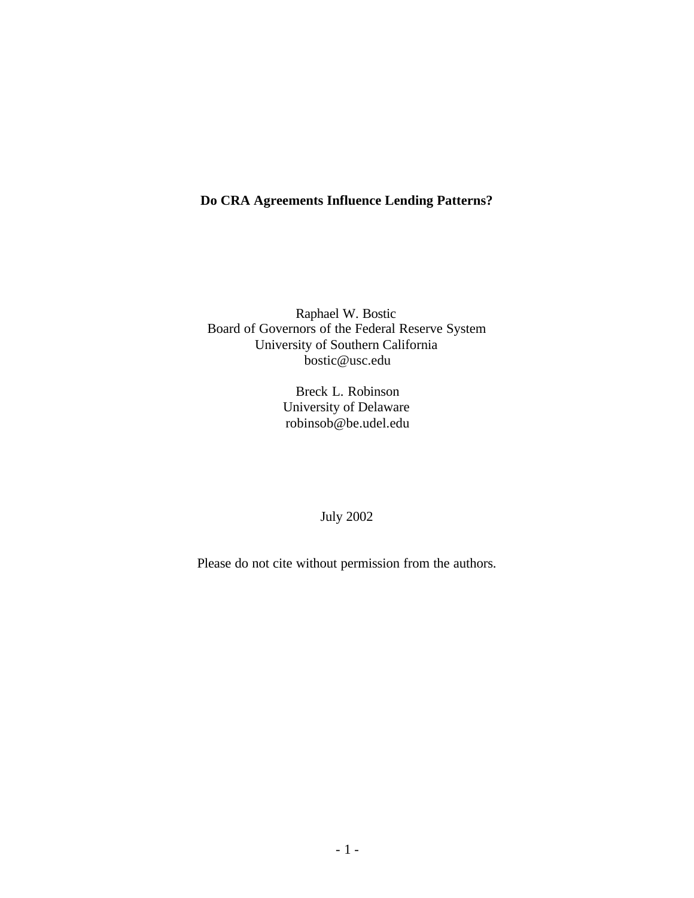## **Do CRA Agreements Influence Lending Patterns?**

Raphael W. Bostic Board of Governors of the Federal Reserve System University of Southern California bostic@usc.edu

> Breck L. Robinson University of Delaware robinsob@be.udel.edu

## July 2002

Please do not cite without permission from the authors.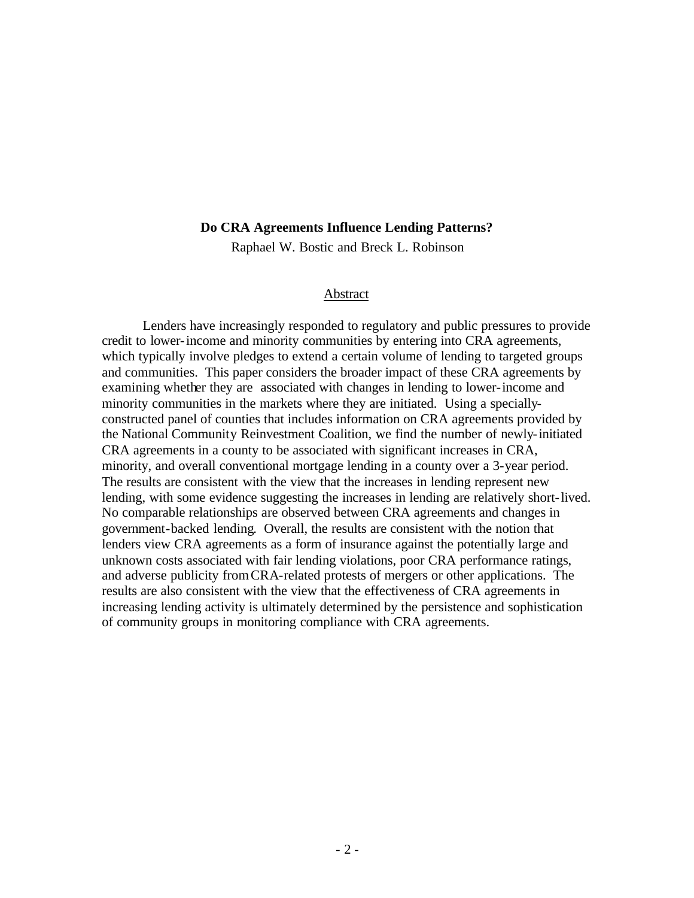#### **Do CRA Agreements Influence Lending Patterns?**

Raphael W. Bostic and Breck L. Robinson

#### Abstract

Lenders have increasingly responded to regulatory and public pressures to provide credit to lower-income and minority communities by entering into CRA agreements, which typically involve pledges to extend a certain volume of lending to targeted groups and communities. This paper considers the broader impact of these CRA agreements by examining whether they are associated with changes in lending to lower-income and minority communities in the markets where they are initiated. Using a speciallyconstructed panel of counties that includes information on CRA agreements provided by the National Community Reinvestment Coalition, we find the number of newly-initiated CRA agreements in a county to be associated with significant increases in CRA, minority, and overall conventional mortgage lending in a county over a 3-year period. The results are consistent with the view that the increases in lending represent new lending, with some evidence suggesting the increases in lending are relatively short-lived. No comparable relationships are observed between CRA agreements and changes in government-backed lending. Overall, the results are consistent with the notion that lenders view CRA agreements as a form of insurance against the potentially large and unknown costs associated with fair lending violations, poor CRA performance ratings, and adverse publicity from CRA-related protests of mergers or other applications. The results are also consistent with the view that the effectiveness of CRA agreements in increasing lending activity is ultimately determined by the persistence and sophistication of community groups in monitoring compliance with CRA agreements.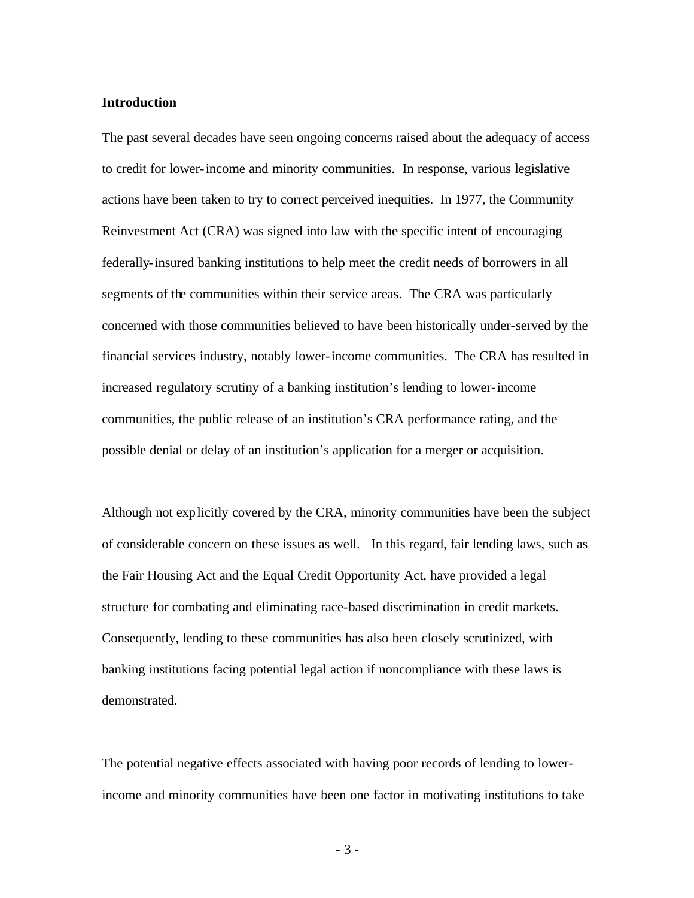### **Introduction**

The past several decades have seen ongoing concerns raised about the adequacy of access to credit for lower-income and minority communities. In response, various legislative actions have been taken to try to correct perceived inequities. In 1977, the Community Reinvestment Act (CRA) was signed into law with the specific intent of encouraging federally-insured banking institutions to help meet the credit needs of borrowers in all segments of the communities within their service areas. The CRA was particularly concerned with those communities believed to have been historically under-served by the financial services industry, notably lower-income communities. The CRA has resulted in increased regulatory scrutiny of a banking institution's lending to lower-income communities, the public release of an institution's CRA performance rating, and the possible denial or delay of an institution's application for a merger or acquisition.

Although not explicitly covered by the CRA, minority communities have been the subject of considerable concern on these issues as well. In this regard, fair lending laws, such as the Fair Housing Act and the Equal Credit Opportunity Act, have provided a legal structure for combating and eliminating race-based discrimination in credit markets. Consequently, lending to these communities has also been closely scrutinized, with banking institutions facing potential legal action if noncompliance with these laws is demonstrated.

The potential negative effects associated with having poor records of lending to lowerincome and minority communities have been one factor in motivating institutions to take

- 3 -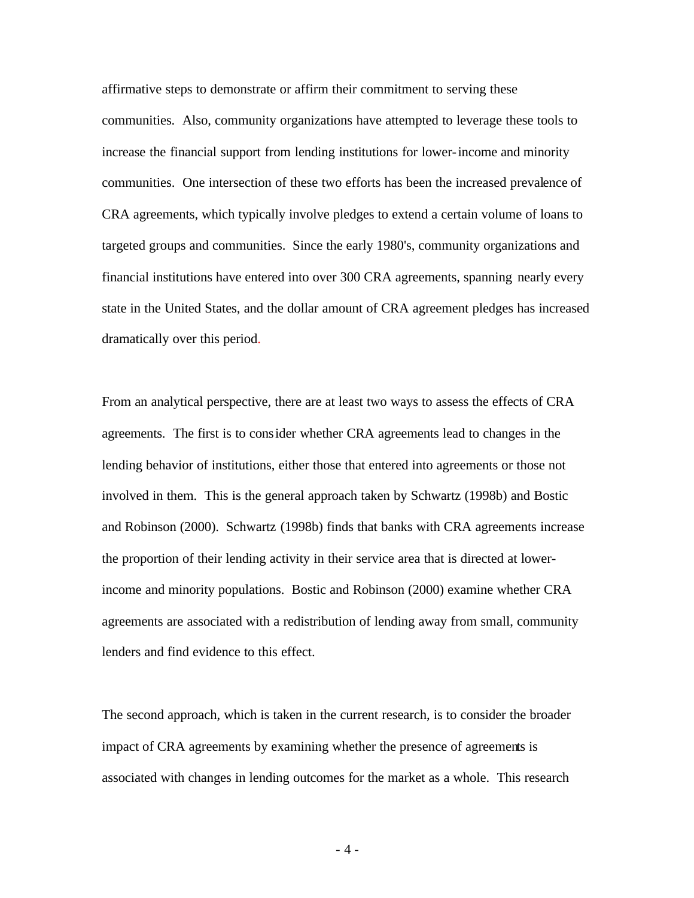affirmative steps to demonstrate or affirm their commitment to serving these communities. Also, community organizations have attempted to leverage these tools to increase the financial support from lending institutions for lower-income and minority communities. One intersection of these two efforts has been the increased prevalence of CRA agreements, which typically involve pledges to extend a certain volume of loans to targeted groups and communities. Since the early 1980's, community organizations and financial institutions have entered into over 300 CRA agreements, spanning nearly every state in the United States, and the dollar amount of CRA agreement pledges has increased dramatically over this period.

From an analytical perspective, there are at least two ways to assess the effects of CRA agreements. The first is to consider whether CRA agreements lead to changes in the lending behavior of institutions, either those that entered into agreements or those not involved in them. This is the general approach taken by Schwartz (1998b) and Bostic and Robinson (2000). Schwartz (1998b) finds that banks with CRA agreements increase the proportion of their lending activity in their service area that is directed at lowerincome and minority populations. Bostic and Robinson (2000) examine whether CRA agreements are associated with a redistribution of lending away from small, community lenders and find evidence to this effect.

The second approach, which is taken in the current research, is to consider the broader impact of CRA agreements by examining whether the presence of agreements is associated with changes in lending outcomes for the market as a whole. This research

- 4 -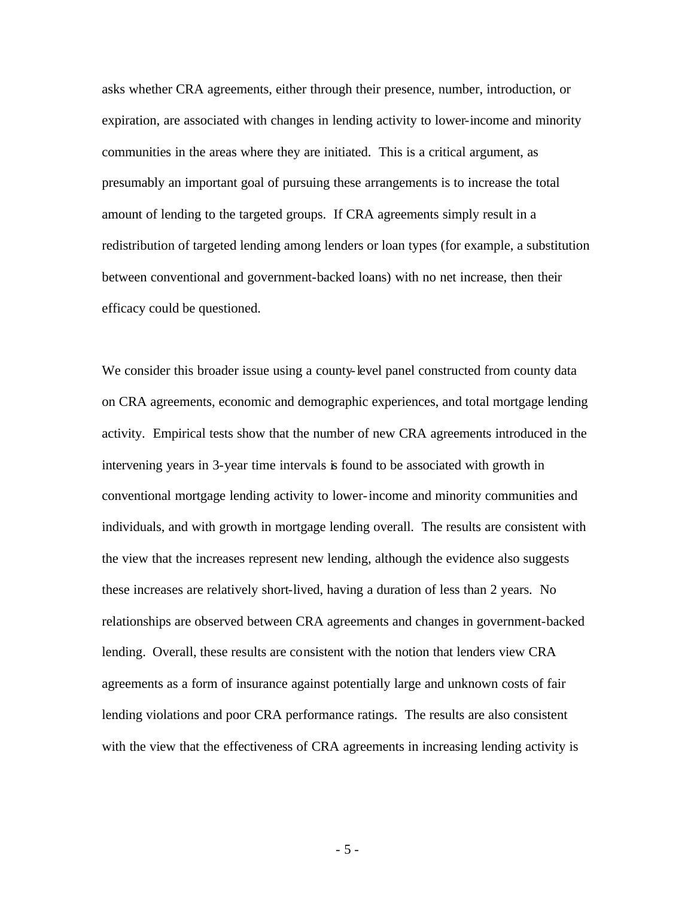asks whether CRA agreements, either through their presence, number, introduction, or expiration, are associated with changes in lending activity to lower-income and minority communities in the areas where they are initiated. This is a critical argument, as presumably an important goal of pursuing these arrangements is to increase the total amount of lending to the targeted groups. If CRA agreements simply result in a redistribution of targeted lending among lenders or loan types (for example, a substitution between conventional and government-backed loans) with no net increase, then their efficacy could be questioned.

We consider this broader issue using a county-level panel constructed from county data on CRA agreements, economic and demographic experiences, and total mortgage lending activity. Empirical tests show that the number of new CRA agreements introduced in the intervening years in 3-year time intervals is found to be associated with growth in conventional mortgage lending activity to lower-income and minority communities and individuals, and with growth in mortgage lending overall. The results are consistent with the view that the increases represent new lending, although the evidence also suggests these increases are relatively short-lived, having a duration of less than 2 years. No relationships are observed between CRA agreements and changes in government-backed lending. Overall, these results are consistent with the notion that lenders view CRA agreements as a form of insurance against potentially large and unknown costs of fair lending violations and poor CRA performance ratings. The results are also consistent with the view that the effectiveness of CRA agreements in increasing lending activity is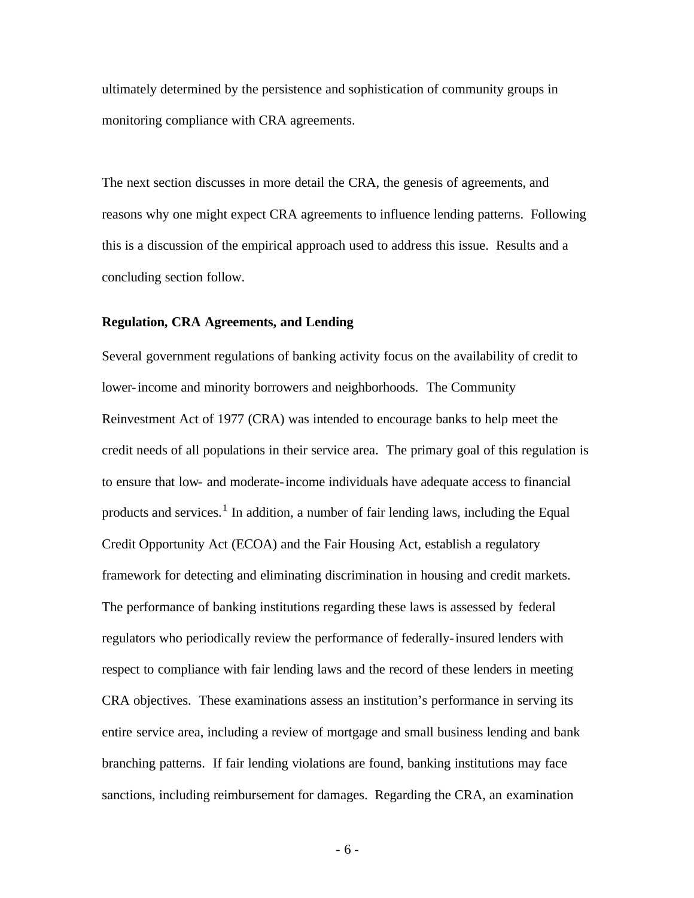ultimately determined by the persistence and sophistication of community groups in monitoring compliance with CRA agreements.

The next section discusses in more detail the CRA, the genesis of agreements, and reasons why one might expect CRA agreements to influence lending patterns. Following this is a discussion of the empirical approach used to address this issue. Results and a concluding section follow.

#### **Regulation, CRA Agreements, and Lending**

Several government regulations of banking activity focus on the availability of credit to lower-income and minority borrowers and neighborhoods. The Community Reinvestment Act of 1977 (CRA) was intended to encourage banks to help meet the credit needs of all populations in their service area. The primary goal of this regulation is to ensure that low- and moderate-income individuals have adequate access to financial products and services.<sup>1</sup> In addition, a number of fair lending laws, including the Equal Credit Opportunity Act (ECOA) and the Fair Housing Act, establish a regulatory framework for detecting and eliminating discrimination in housing and credit markets. The performance of banking institutions regarding these laws is assessed by federal regulators who periodically review the performance of federally-insured lenders with respect to compliance with fair lending laws and the record of these lenders in meeting CRA objectives. These examinations assess an institution's performance in serving its entire service area, including a review of mortgage and small business lending and bank branching patterns. If fair lending violations are found, banking institutions may face sanctions, including reimbursement for damages. Regarding the CRA, an examination

- 6 -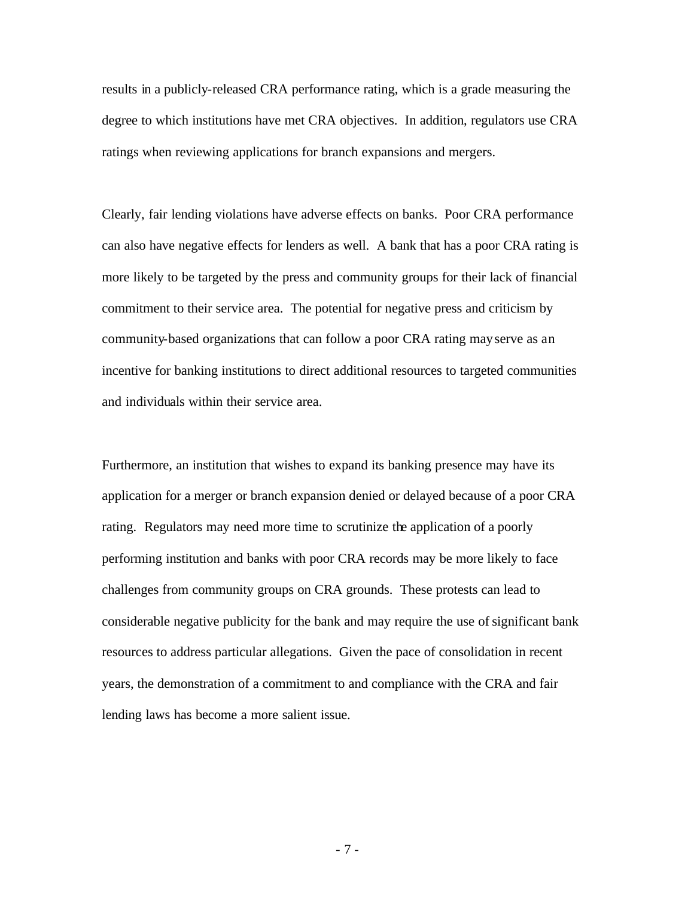results in a publicly-released CRA performance rating, which is a grade measuring the degree to which institutions have met CRA objectives. In addition, regulators use CRA ratings when reviewing applications for branch expansions and mergers.

Clearly, fair lending violations have adverse effects on banks. Poor CRA performance can also have negative effects for lenders as well. A bank that has a poor CRA rating is more likely to be targeted by the press and community groups for their lack of financial commitment to their service area. The potential for negative press and criticism by community-based organizations that can follow a poor CRA rating mayserve as an incentive for banking institutions to direct additional resources to targeted communities and individuals within their service area.

Furthermore, an institution that wishes to expand its banking presence may have its application for a merger or branch expansion denied or delayed because of a poor CRA rating. Regulators may need more time to scrutinize the application of a poorly performing institution and banks with poor CRA records may be more likely to face challenges from community groups on CRA grounds. These protests can lead to considerable negative publicity for the bank and may require the use of significant bank resources to address particular allegations. Given the pace of consolidation in recent years, the demonstration of a commitment to and compliance with the CRA and fair lending laws has become a more salient issue.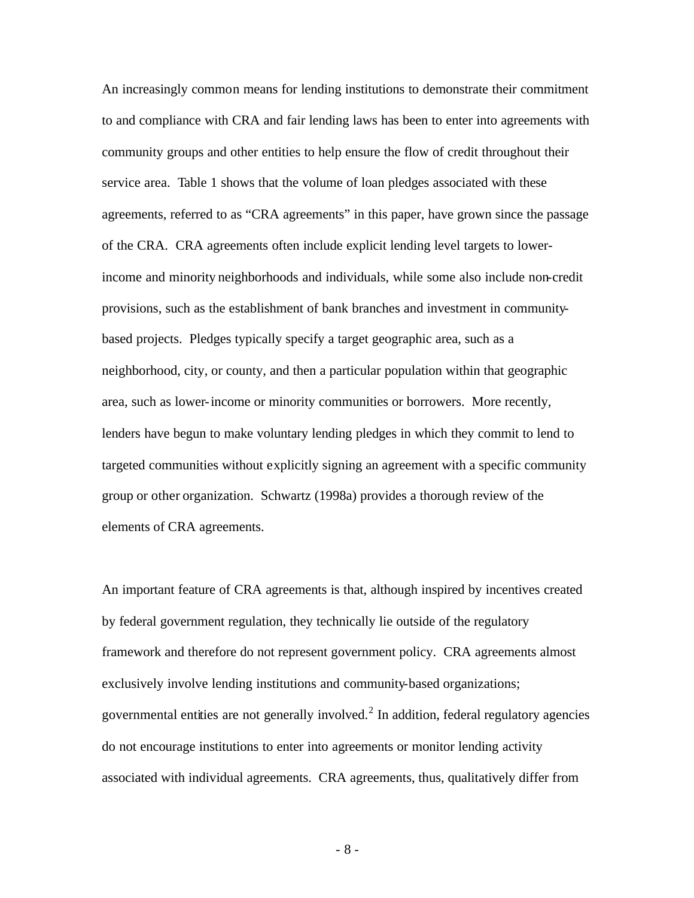An increasingly common means for lending institutions to demonstrate their commitment to and compliance with CRA and fair lending laws has been to enter into agreements with community groups and other entities to help ensure the flow of credit throughout their service area. Table 1 shows that the volume of loan pledges associated with these agreements, referred to as "CRA agreements" in this paper, have grown since the passage of the CRA. CRA agreements often include explicit lending level targets to lowerincome and minority neighborhoods and individuals, while some also include non-credit provisions, such as the establishment of bank branches and investment in communitybased projects. Pledges typically specify a target geographic area, such as a neighborhood, city, or county, and then a particular population within that geographic area, such as lower-income or minority communities or borrowers. More recently, lenders have begun to make voluntary lending pledges in which they commit to lend to targeted communities without explicitly signing an agreement with a specific community group or other organization. Schwartz (1998a) provides a thorough review of the elements of CRA agreements.

An important feature of CRA agreements is that, although inspired by incentives created by federal government regulation, they technically lie outside of the regulatory framework and therefore do not represent government policy. CRA agreements almost exclusively involve lending institutions and community-based organizations; governmental entities are not generally involved. $2$  In addition, federal regulatory agencies do not encourage institutions to enter into agreements or monitor lending activity associated with individual agreements. CRA agreements, thus, qualitatively differ from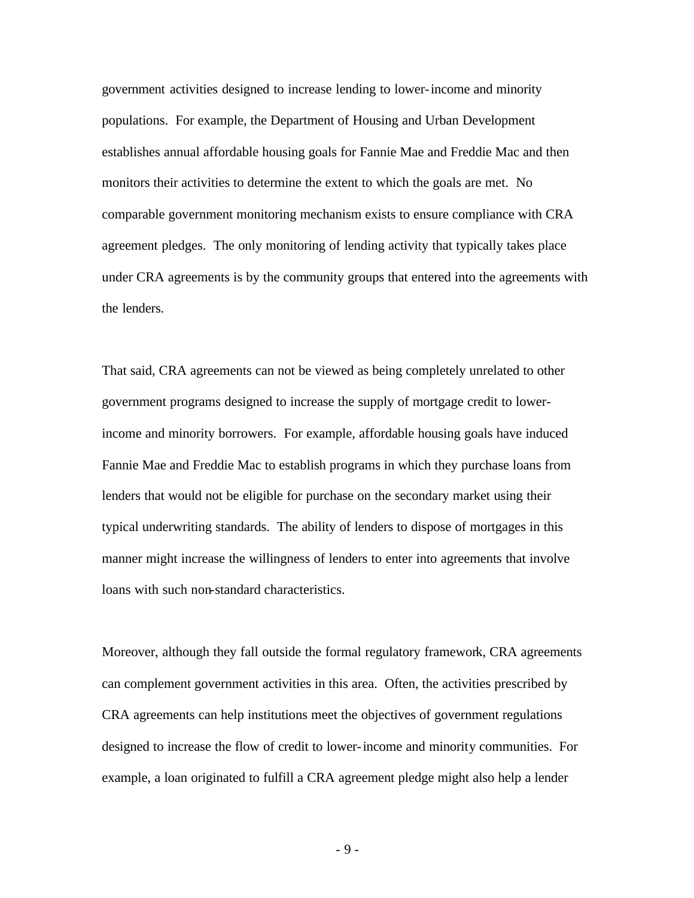government activities designed to increase lending to lower-income and minority populations. For example, the Department of Housing and Urban Development establishes annual affordable housing goals for Fannie Mae and Freddie Mac and then monitors their activities to determine the extent to which the goals are met. No comparable government monitoring mechanism exists to ensure compliance with CRA agreement pledges. The only monitoring of lending activity that typically takes place under CRA agreements is by the community groups that entered into the agreements with the lenders.

That said, CRA agreements can not be viewed as being completely unrelated to other government programs designed to increase the supply of mortgage credit to lowerincome and minority borrowers. For example, affordable housing goals have induced Fannie Mae and Freddie Mac to establish programs in which they purchase loans from lenders that would not be eligible for purchase on the secondary market using their typical underwriting standards. The ability of lenders to dispose of mortgages in this manner might increase the willingness of lenders to enter into agreements that involve loans with such non-standard characteristics.

Moreover, although they fall outside the formal regulatory framework, CRA agreements can complement government activities in this area. Often, the activities prescribed by CRA agreements can help institutions meet the objectives of government regulations designed to increase the flow of credit to lower-income and minority communities. For example, a loan originated to fulfill a CRA agreement pledge might also help a lender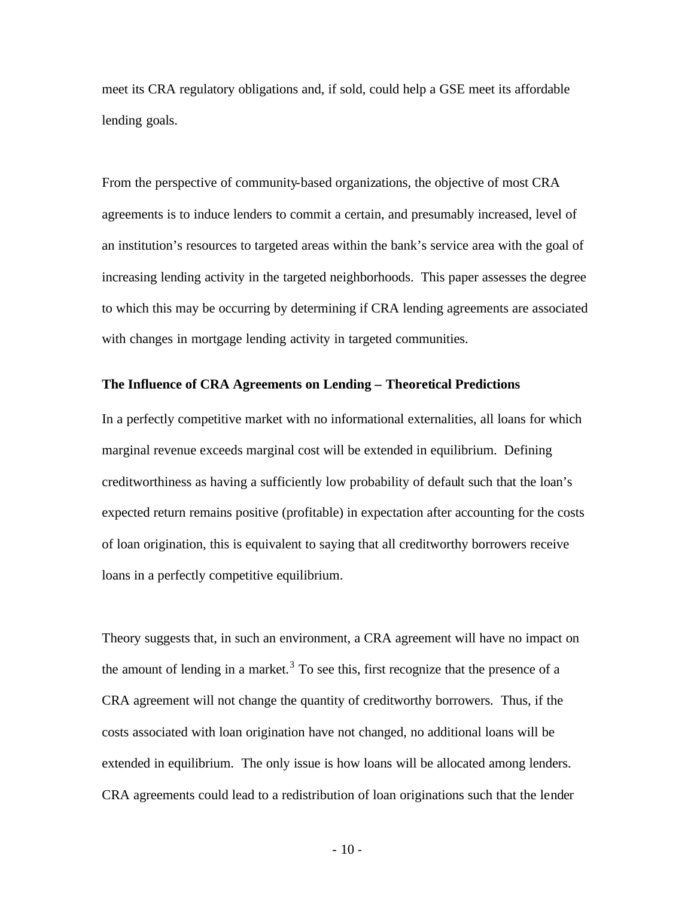meet its CRA regulatory obligations and, if sold, could help a GSE meet its affordable lending goals.

From the perspective of community-based organizations, the objective of most CRA agreements is to induce lenders to commit a certain, and presumably increased, level of an institution's resources to targeted areas within the bank's service area with the goal of increasing lending activity in the targeted neighborhoods. This paper assesses the degree to which this may be occurring by determining if CRA lending agreements are associated with changes in mortgage lending activity in targeted communities.

#### **The Influence of CRA Agreements on Lending – Theoretical Predictions**

In a perfectly competitive market with no informational externalities, all loans for which marginal revenue exceeds marginal cost will be extended in equilibrium. Defining creditworthiness as having a sufficiently low probability of default such that the loan's expected return remains positive (profitable) in expectation after accounting for the costs of loan origination, this is equivalent to saying that all creditworthy borrowers receive loans in a perfectly competitive equilibrium.

Theory suggests that, in such an environment, a CRA agreement will have no impact on the amount of lending in a market.<sup>3</sup> To see this, first recognize that the presence of a CRA agreement will not change the quantity of creditworthy borrowers. Thus, if the costs associated with loan origination have not changed, no additional loans will be extended in equilibrium. The only issue is how loans will be allocated among lenders. CRA agreements could lead to a redistribution of loan originations such that the lender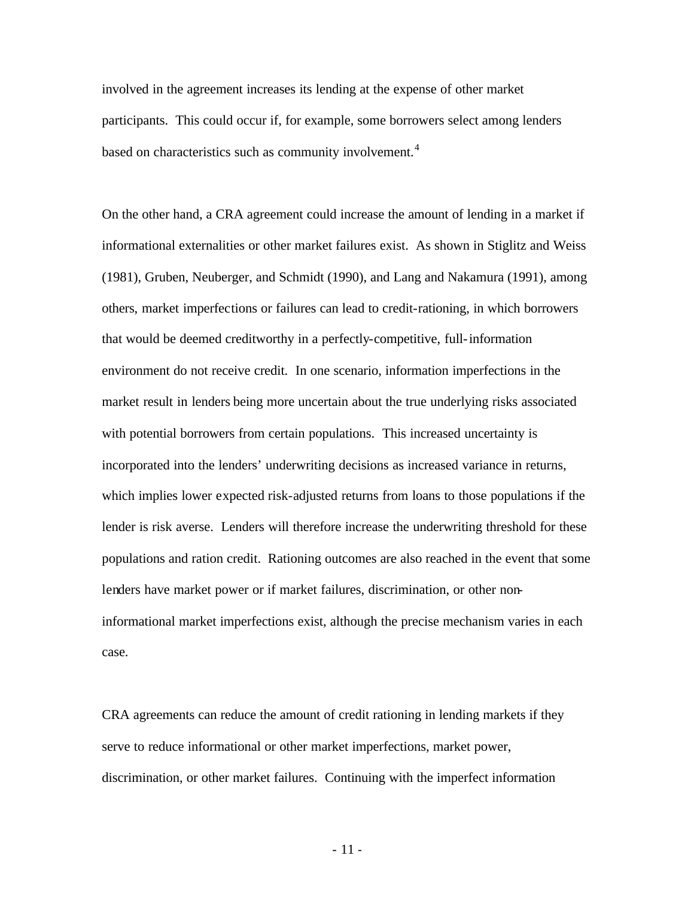involved in the agreement increases its lending at the expense of other market participants. This could occur if, for example, some borrowers select among lenders based on characteristics such as community involvement.<sup>4</sup>

On the other hand, a CRA agreement could increase the amount of lending in a market if informational externalities or other market failures exist. As shown in Stiglitz and Weiss (1981), Gruben, Neuberger, and Schmidt (1990), and Lang and Nakamura (1991), among others, market imperfections or failures can lead to credit-rationing, in which borrowers that would be deemed creditworthy in a perfectly-competitive, full-information environment do not receive credit. In one scenario, information imperfections in the market result in lenders being more uncertain about the true underlying risks associated with potential borrowers from certain populations. This increased uncertainty is incorporated into the lenders' underwriting decisions as increased variance in returns, which implies lower expected risk-adjusted returns from loans to those populations if the lender is risk averse. Lenders will therefore increase the underwriting threshold for these populations and ration credit. Rationing outcomes are also reached in the event that some lenders have market power or if market failures, discrimination, or other noninformational market imperfections exist, although the precise mechanism varies in each case.

CRA agreements can reduce the amount of credit rationing in lending markets if they serve to reduce informational or other market imperfections, market power, discrimination, or other market failures. Continuing with the imperfect information

- 11 -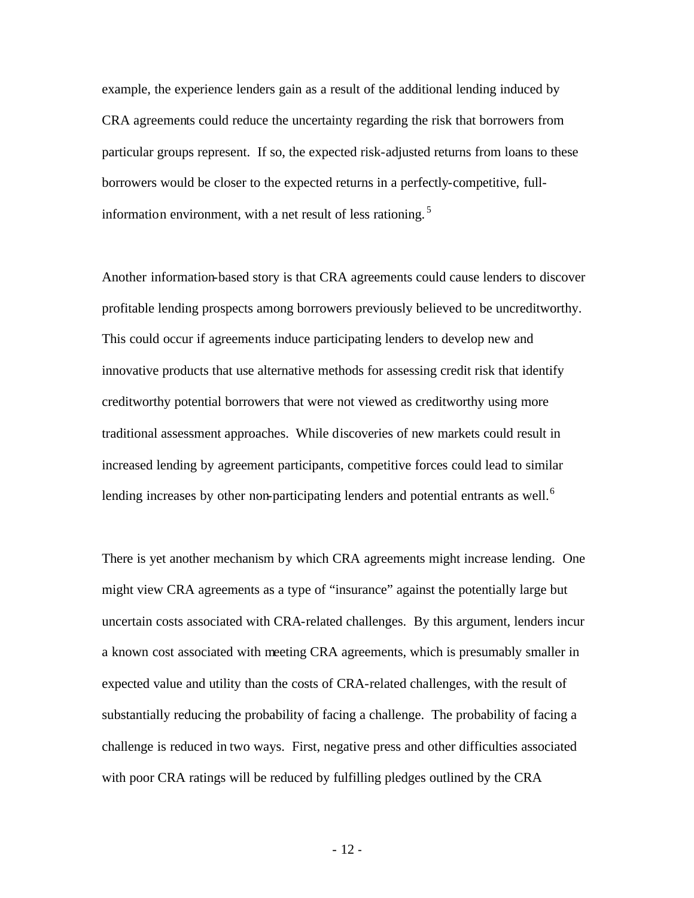example, the experience lenders gain as a result of the additional lending induced by CRA agreements could reduce the uncertainty regarding the risk that borrowers from particular groups represent. If so, the expected risk-adjusted returns from loans to these borrowers would be closer to the expected returns in a perfectly-competitive, fullinformation environment, with a net result of less rationing.<sup>5</sup>

Another information-based story is that CRA agreements could cause lenders to discover profitable lending prospects among borrowers previously believed to be uncreditworthy. This could occur if agreements induce participating lenders to develop new and innovative products that use alternative methods for assessing credit risk that identify creditworthy potential borrowers that were not viewed as creditworthy using more traditional assessment approaches. While discoveries of new markets could result in increased lending by agreement participants, competitive forces could lead to similar lending increases by other non-participating lenders and potential entrants as well.<sup>6</sup>

There is yet another mechanism by which CRA agreements might increase lending. One might view CRA agreements as a type of "insurance" against the potentially large but uncertain costs associated with CRA-related challenges. By this argument, lenders incur a known cost associated with meeting CRA agreements, which is presumably smaller in expected value and utility than the costs of CRA-related challenges, with the result of substantially reducing the probability of facing a challenge. The probability of facing a challenge is reduced in two ways. First, negative press and other difficulties associated with poor CRA ratings will be reduced by fulfilling pledges outlined by the CRA

- 12 -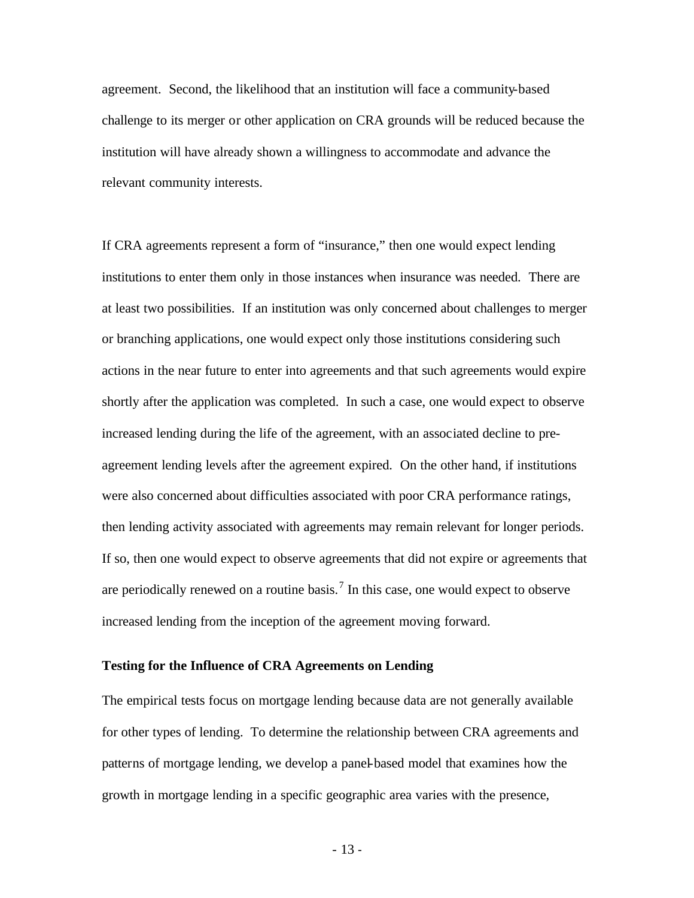agreement. Second, the likelihood that an institution will face a community-based challenge to its merger or other application on CRA grounds will be reduced because the institution will have already shown a willingness to accommodate and advance the relevant community interests.

If CRA agreements represent a form of "insurance," then one would expect lending institutions to enter them only in those instances when insurance was needed. There are at least two possibilities. If an institution was only concerned about challenges to merger or branching applications, one would expect only those institutions considering such actions in the near future to enter into agreements and that such agreements would expire shortly after the application was completed. In such a case, one would expect to observe increased lending during the life of the agreement, with an associated decline to preagreement lending levels after the agreement expired. On the other hand, if institutions were also concerned about difficulties associated with poor CRA performance ratings, then lending activity associated with agreements may remain relevant for longer periods. If so, then one would expect to observe agreements that did not expire or agreements that are periodically renewed on a routine basis.<sup>7</sup> In this case, one would expect to observe increased lending from the inception of the agreement moving forward.

#### **Testing for the Influence of CRA Agreements on Lending**

The empirical tests focus on mortgage lending because data are not generally available for other types of lending. To determine the relationship between CRA agreements and patterns of mortgage lending, we develop a panel-based model that examines how the growth in mortgage lending in a specific geographic area varies with the presence,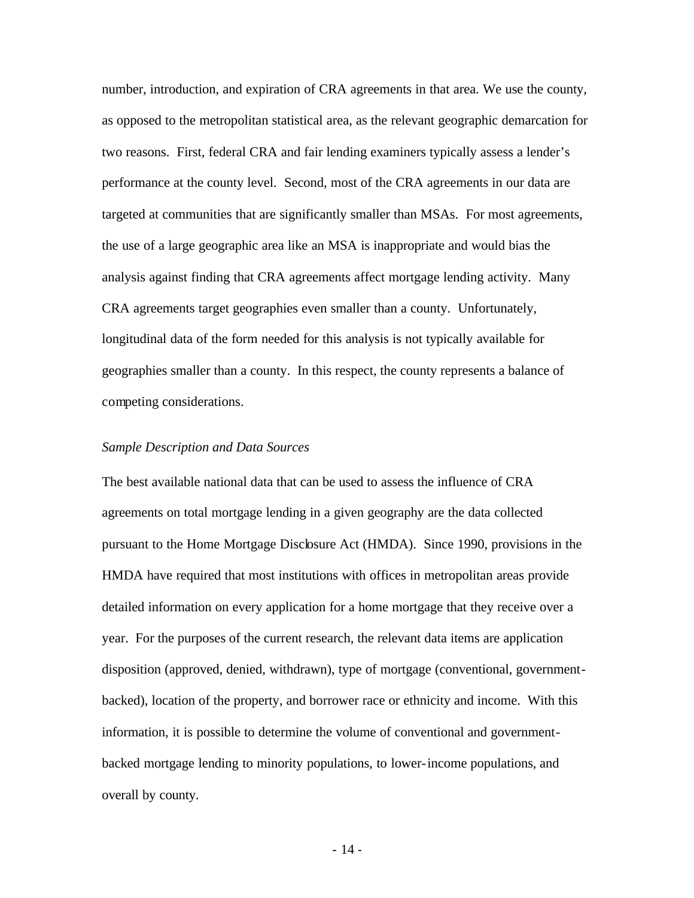number, introduction, and expiration of CRA agreements in that area. We use the county, as opposed to the metropolitan statistical area, as the relevant geographic demarcation for two reasons. First, federal CRA and fair lending examiners typically assess a lender's performance at the county level. Second, most of the CRA agreements in our data are targeted at communities that are significantly smaller than MSAs. For most agreements, the use of a large geographic area like an MSA is inappropriate and would bias the analysis against finding that CRA agreements affect mortgage lending activity. Many CRA agreements target geographies even smaller than a county. Unfortunately, longitudinal data of the form needed for this analysis is not typically available for geographies smaller than a county. In this respect, the county represents a balance of competing considerations.

#### *Sample Description and Data Sources*

The best available national data that can be used to assess the influence of CRA agreements on total mortgage lending in a given geography are the data collected pursuant to the Home Mortgage Disclosure Act (HMDA). Since 1990, provisions in the HMDA have required that most institutions with offices in metropolitan areas provide detailed information on every application for a home mortgage that they receive over a year. For the purposes of the current research, the relevant data items are application disposition (approved, denied, withdrawn), type of mortgage (conventional, governmentbacked), location of the property, and borrower race or ethnicity and income. With this information, it is possible to determine the volume of conventional and governmentbacked mortgage lending to minority populations, to lower-income populations, and overall by county.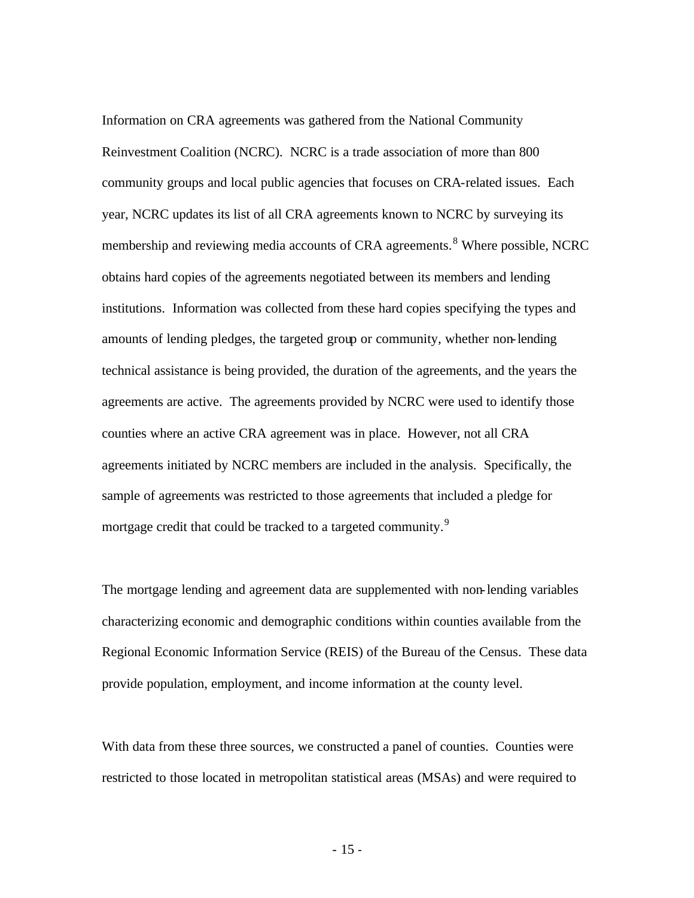Information on CRA agreements was gathered from the National Community Reinvestment Coalition (NCRC). NCRC is a trade association of more than 800 community groups and local public agencies that focuses on CRA-related issues. Each year, NCRC updates its list of all CRA agreements known to NCRC by surveying its membership and reviewing media accounts of CRA agreements.<sup>8</sup> Where possible, NCRC obtains hard copies of the agreements negotiated between its members and lending institutions. Information was collected from these hard copies specifying the types and amounts of lending pledges, the targeted group or community, whether non-lending technical assistance is being provided, the duration of the agreements, and the years the agreements are active. The agreements provided by NCRC were used to identify those counties where an active CRA agreement was in place. However, not all CRA agreements initiated by NCRC members are included in the analysis. Specifically, the sample of agreements was restricted to those agreements that included a pledge for mortgage credit that could be tracked to a targeted community.<sup>9</sup>

The mortgage lending and agreement data are supplemented with non-lending variables characterizing economic and demographic conditions within counties available from the Regional Economic Information Service (REIS) of the Bureau of the Census. These data provide population, employment, and income information at the county level.

With data from these three sources, we constructed a panel of counties. Counties were restricted to those located in metropolitan statistical areas (MSAs) and were required to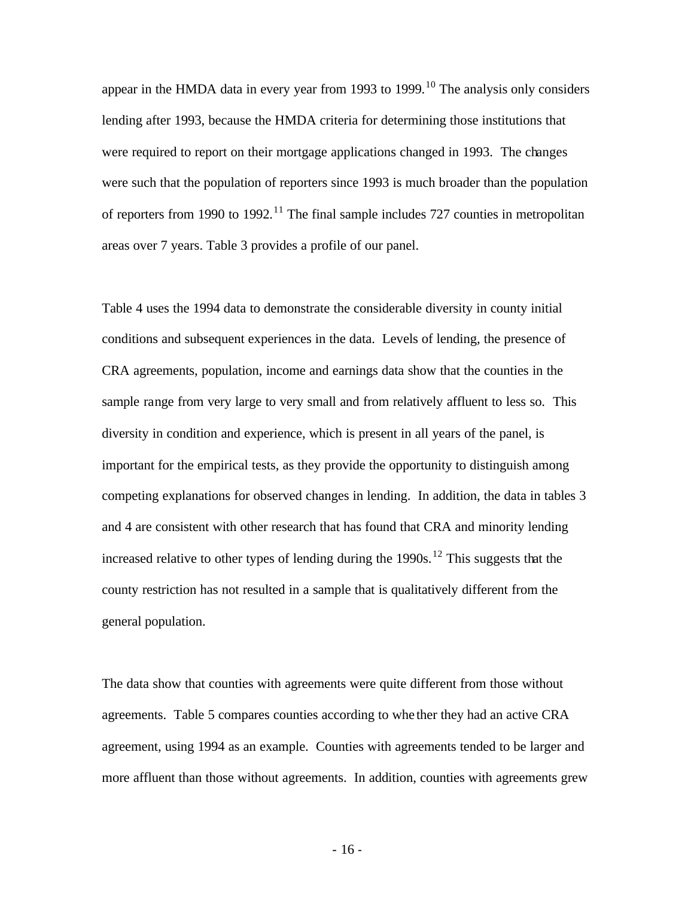appear in the HMDA data in every year from 1993 to 1999.<sup>10</sup> The analysis only considers lending after 1993, because the HMDA criteria for determining those institutions that were required to report on their mortgage applications changed in 1993. The changes were such that the population of reporters since 1993 is much broader than the population of reporters from 1990 to 1992.<sup>11</sup> The final sample includes 727 counties in metropolitan areas over 7 years. Table 3 provides a profile of our panel.

Table 4 uses the 1994 data to demonstrate the considerable diversity in county initial conditions and subsequent experiences in the data. Levels of lending, the presence of CRA agreements, population, income and earnings data show that the counties in the sample range from very large to very small and from relatively affluent to less so. This diversity in condition and experience, which is present in all years of the panel, is important for the empirical tests, as they provide the opportunity to distinguish among competing explanations for observed changes in lending. In addition, the data in tables 3 and 4 are consistent with other research that has found that CRA and minority lending increased relative to other types of lending during the  $1990s$ .<sup>12</sup> This suggests that the county restriction has not resulted in a sample that is qualitatively different from the general population.

The data show that counties with agreements were quite different from those without agreements. Table 5 compares counties according to whe ther they had an active CRA agreement, using 1994 as an example. Counties with agreements tended to be larger and more affluent than those without agreements. In addition, counties with agreements grew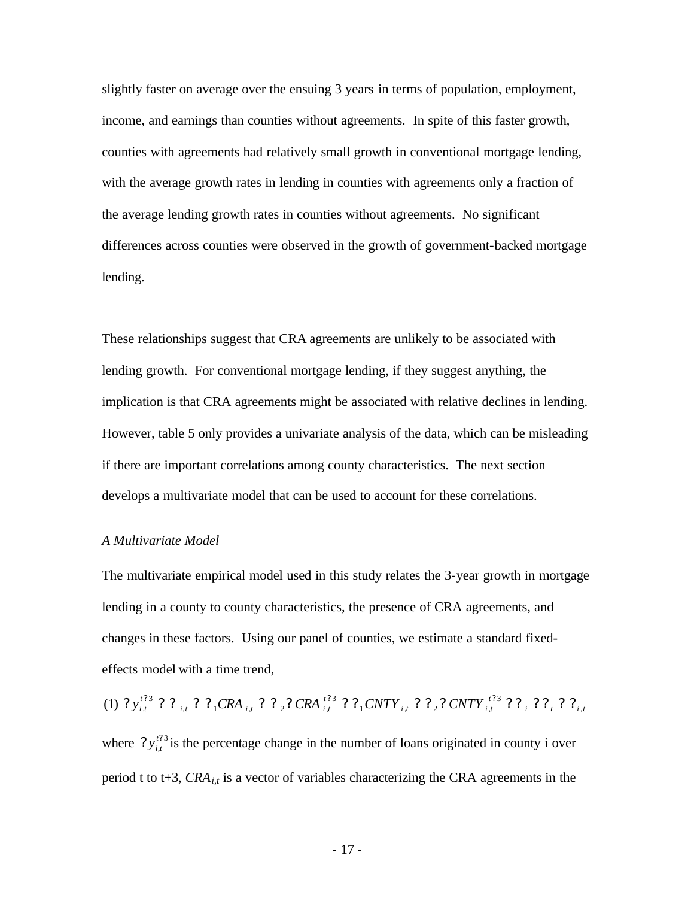slightly faster on average over the ensuing 3 years in terms of population, employment, income, and earnings than counties without agreements. In spite of this faster growth, counties with agreements had relatively small growth in conventional mortgage lending, with the average growth rates in lending in counties with agreements only a fraction of the average lending growth rates in counties without agreements. No significant differences across counties were observed in the growth of government-backed mortgage lending.

These relationships suggest that CRA agreements are unlikely to be associated with lending growth. For conventional mortgage lending, if they suggest anything, the implication is that CRA agreements might be associated with relative declines in lending. However, table 5 only provides a univariate analysis of the data, which can be misleading if there are important correlations among county characteristics. The next section develops a multivariate model that can be used to account for these correlations.

#### *A Multivariate Model*

The multivariate empirical model used in this study relates the 3-year growth in mortgage lending in a county to county characteristics, the presence of CRA agreements, and changes in these factors. Using our panel of counties, we estimate a standard fixedeffects model with a time trend,

 $i \cdot \cdot t \cdot t$ ,  $i, t$ *t*  $i, t$  *i*  $i$  *i*  $i$  *z i*  $i$  *i it t*  $i, t \rightarrow 1$ CIVI $i, t \rightarrow 2$ ; CIVI $i, t$ *t y<sup>i</sup> <sup>t</sup> CRA CRA CNTY CNTY* , 3  $1$   $CIVII$   $_{i,t}$   $\cdot$   $_{i}$   $_{2}$   $\cdot$   $CIVII$   $_{i}$ 3  $_{i,t}$  ;  $_{1}$  ,  $_{1}$  ,  $_{i,t}$  ;  $_{2}$  ;  $_{2}$  ,  $_{1}$   $_{2}$ 3  $(1)$  ?  $y_{i,t}^{t?3}$  ? ?  $?$   $?$   $?$   $?$   $CRA$   $_{i,t}$  ? ?  $?$   $CNA$   $_{i,t}^{t?3}$  ?  $?$   $?$   $CNTY_{i,t}^{t?3}$  ? ?  $?$   $?$   $?$   $?$   $?$   $?$ where  $?y_{i,t}^{t?3}$  $?y''_{i}$  $y_{i,t}^{t/3}$  is the percentage change in the number of loans originated in county i over period t to t+3, *CRAi,t* is a vector of variables characterizing the CRA agreements in the

- 17 -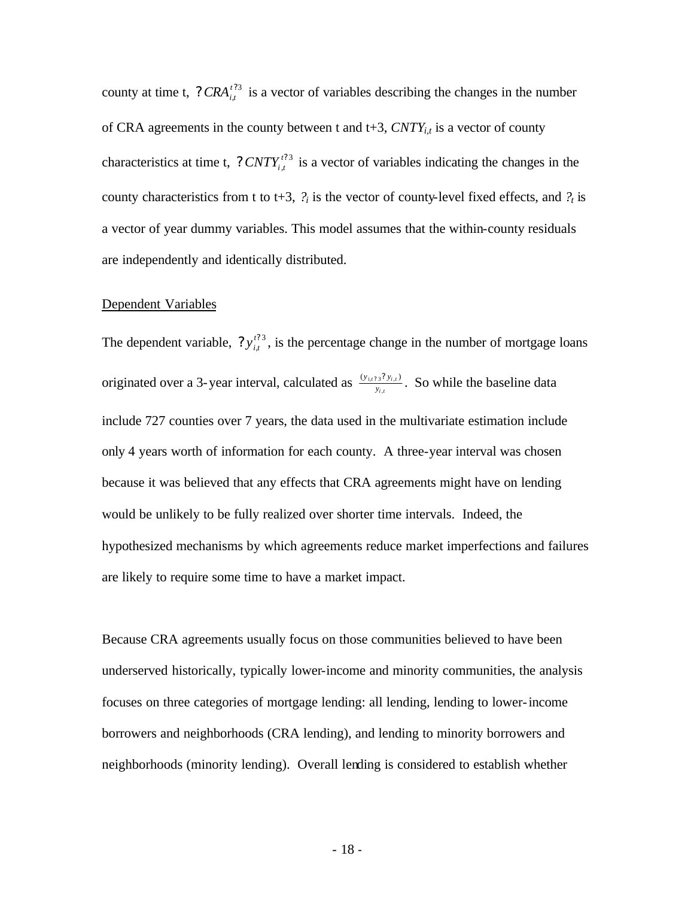county at time t, ?  $CRA_{it}^{t?3}$ , ?  $CRA_{i,t}^{t}$  is a vector of variables describing the changes in the number of CRA agreements in the county between t and t+3, *CNTYi,t* is a vector of county characteristics at time t, ?  $CNTY_{i,t}^{t?3}$ ?  $CNTY_{i,t}^{t^2}$  is a vector of variables indicating the changes in the county characteristics from t to t+3,  $\hat{P}_i$  is the vector of county-level fixed effects, and  $\hat{P}_t$  is a vector of year dummy variables. This model assumes that the within-county residuals are independently and identically distributed.

#### Dependent Variables

The dependent variable,  $?y_{i,t}^{t?3}$  $?y''_{i}$  $y_{i,t}^{t/3}$ , is the percentage change in the number of mortgage loans originated over a 3-year interval, calculated as  $\frac{y_{i,t}y_{i,t}}{y_{i,t}}$ *i t i t y y y* ,  $\frac{(y_{i,t/3}; y_{i,t})}{y}$ . So while the baseline data include 727 counties over 7 years, the data used in the multivariate estimation include only 4 years worth of information for each county. A three-year interval was chosen because it was believed that any effects that CRA agreements might have on lending would be unlikely to be fully realized over shorter time intervals. Indeed, the hypothesized mechanisms by which agreements reduce market imperfections and failures are likely to require some time to have a market impact.

Because CRA agreements usually focus on those communities believed to have been underserved historically, typically lower-income and minority communities, the analysis focuses on three categories of mortgage lending: all lending, lending to lower-income borrowers and neighborhoods (CRA lending), and lending to minority borrowers and neighborhoods (minority lending). Overall lending is considered to establish whether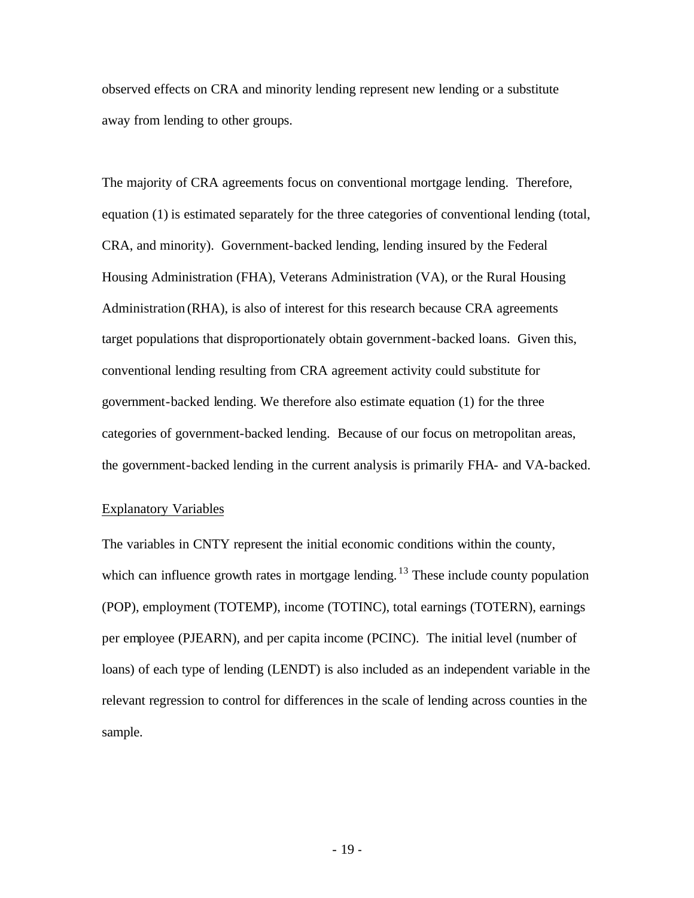observed effects on CRA and minority lending represent new lending or a substitute away from lending to other groups.

The majority of CRA agreements focus on conventional mortgage lending. Therefore, equation (1) is estimated separately for the three categories of conventional lending (total, CRA, and minority). Government-backed lending, lending insured by the Federal Housing Administration (FHA), Veterans Administration (VA), or the Rural Housing Administration (RHA), is also of interest for this research because CRA agreements target populations that disproportionately obtain government-backed loans. Given this, conventional lending resulting from CRA agreement activity could substitute for government-backed lending. We therefore also estimate equation (1) for the three categories of government-backed lending. Because of our focus on metropolitan areas, the government-backed lending in the current analysis is primarily FHA- and VA-backed.

### Explanatory Variables

The variables in CNTY represent the initial economic conditions within the county, which can influence growth rates in mortgage lending. <sup>13</sup> These include county population (POP), employment (TOTEMP), income (TOTINC), total earnings (TOTERN), earnings per employee (PJEARN), and per capita income (PCINC). The initial level (number of loans) of each type of lending (LENDT) is also included as an independent variable in the relevant regression to control for differences in the scale of lending across counties in the sample.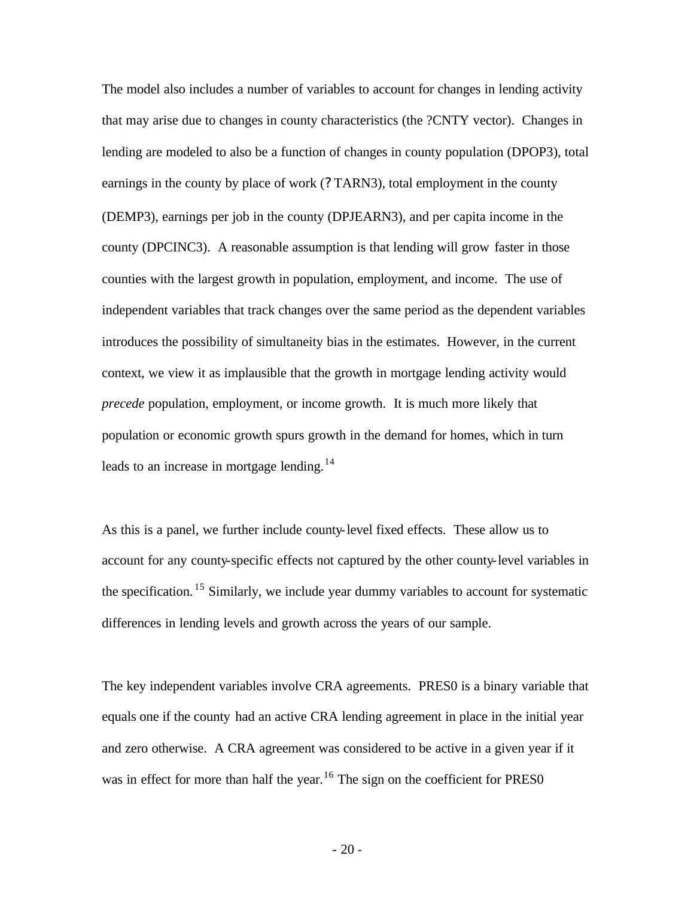The model also includes a number of variables to account for changes in lending activity that may arise due to changes in county characteristics (the ?CNTY vector). Changes in lending are modeled to also be a function of changes in county population (DPOP3), total earnings in the county by place of work (? TARN3), total employment in the county (DEMP3), earnings per job in the county (DPJEARN3), and per capita income in the county (DPCINC3). A reasonable assumption is that lending will grow faster in those counties with the largest growth in population, employment, and income. The use of independent variables that track changes over the same period as the dependent variables introduces the possibility of simultaneity bias in the estimates. However, in the current context, we view it as implausible that the growth in mortgage lending activity would *precede* population, employment, or income growth. It is much more likely that population or economic growth spurs growth in the demand for homes, which in turn leads to an increase in mortgage lending.<sup>14</sup>

As this is a panel, we further include county-level fixed effects. These allow us to account for any county-specific effects not captured by the other county-level variables in the specification.  $15$  Similarly, we include year dummy variables to account for systematic differences in lending levels and growth across the years of our sample.

The key independent variables involve CRA agreements. PRES0 is a binary variable that equals one if the county had an active CRA lending agreement in place in the initial year and zero otherwise. A CRA agreement was considered to be active in a given year if it was in effect for more than half the year.<sup>16</sup> The sign on the coefficient for PRES0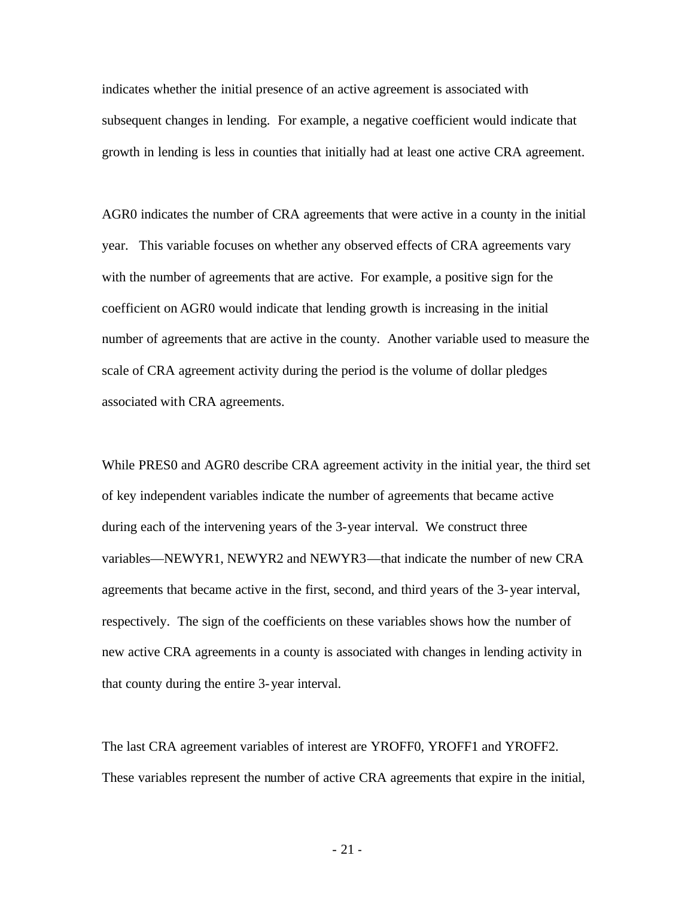indicates whether the initial presence of an active agreement is associated with subsequent changes in lending. For example, a negative coefficient would indicate that growth in lending is less in counties that initially had at least one active CRA agreement.

AGR0 indicates the number of CRA agreements that were active in a county in the initial year. This variable focuses on whether any observed effects of CRA agreements vary with the number of agreements that are active. For example, a positive sign for the coefficient on AGR0 would indicate that lending growth is increasing in the initial number of agreements that are active in the county. Another variable used to measure the scale of CRA agreement activity during the period is the volume of dollar pledges associated with CRA agreements.

While PRES0 and AGR0 describe CRA agreement activity in the initial year, the third set of key independent variables indicate the number of agreements that became active during each of the intervening years of the 3-year interval. We construct three variables—NEWYR1, NEWYR2 and NEWYR3—that indicate the number of new CRA agreements that became active in the first, second, and third years of the 3-year interval, respectively. The sign of the coefficients on these variables shows how the number of new active CRA agreements in a county is associated with changes in lending activity in that county during the entire 3-year interval.

The last CRA agreement variables of interest are YROFF0, YROFF1 and YROFF2. These variables represent the number of active CRA agreements that expire in the initial,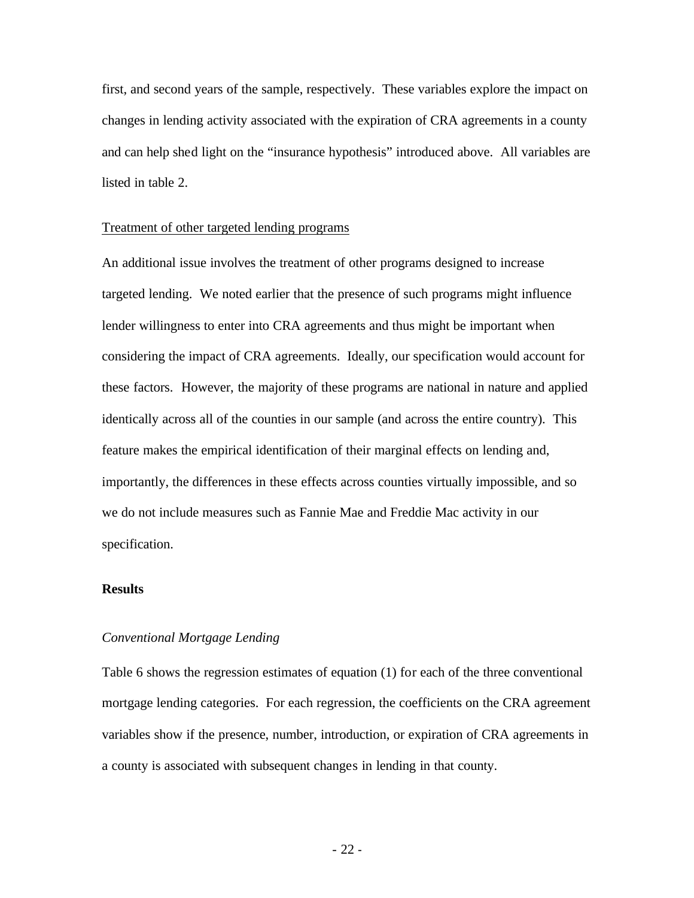first, and second years of the sample, respectively. These variables explore the impact on changes in lending activity associated with the expiration of CRA agreements in a county and can help shed light on the "insurance hypothesis" introduced above. All variables are listed in table 2.

#### Treatment of other targeted lending programs

An additional issue involves the treatment of other programs designed to increase targeted lending. We noted earlier that the presence of such programs might influence lender willingness to enter into CRA agreements and thus might be important when considering the impact of CRA agreements. Ideally, our specification would account for these factors. However, the majority of these programs are national in nature and applied identically across all of the counties in our sample (and across the entire country). This feature makes the empirical identification of their marginal effects on lending and, importantly, the differences in these effects across counties virtually impossible, and so we do not include measures such as Fannie Mae and Freddie Mac activity in our specification.

#### **Results**

### *Conventional Mortgage Lending*

Table 6 shows the regression estimates of equation (1) for each of the three conventional mortgage lending categories. For each regression, the coefficients on the CRA agreement variables show if the presence, number, introduction, or expiration of CRA agreements in a county is associated with subsequent changes in lending in that county.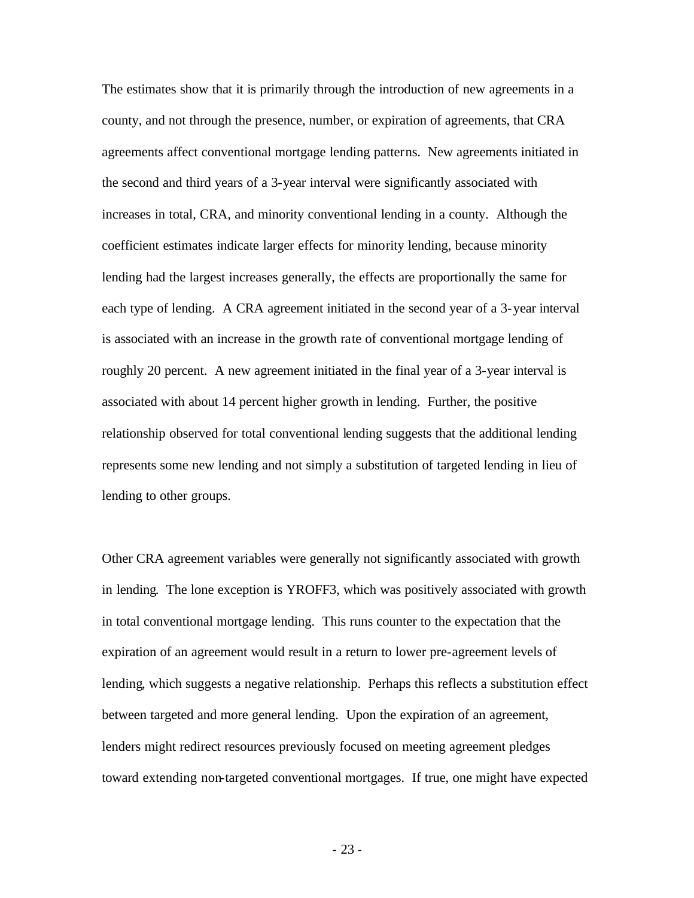The estimates show that it is primarily through the introduction of new agreements in a county, and not through the presence, number, or expiration of agreements, that CRA agreements affect conventional mortgage lending patterns. New agreements initiated in the second and third years of a 3-year interval were significantly associated with increases in total, CRA, and minority conventional lending in a county. Although the coefficient estimates indicate larger effects for minority lending, because minority lending had the largest increases generally, the effects are proportionally the same for each type of lending. A CRA agreement initiated in the second year of a 3-year interval is associated with an increase in the growth rate of conventional mortgage lending of roughly 20 percent. A new agreement initiated in the final year of a 3-year interval is associated with about 14 percent higher growth in lending. Further, the positive relationship observed for total conventional lending suggests that the additional lending represents some new lending and not simply a substitution of targeted lending in lieu of lending to other groups.

Other CRA agreement variables were generally not significantly associated with growth in lending. The lone exception is YROFF3, which was positively associated with growth in total conventional mortgage lending. This runs counter to the expectation that the expiration of an agreement would result in a return to lower pre-agreement levels of lending, which suggests a negative relationship. Perhaps this reflects a substitution effect between targeted and more general lending. Upon the expiration of an agreement, lenders might redirect resources previously focused on meeting agreement pledges toward extending non-targeted conventional mortgages. If true, one might have expected

- 23 -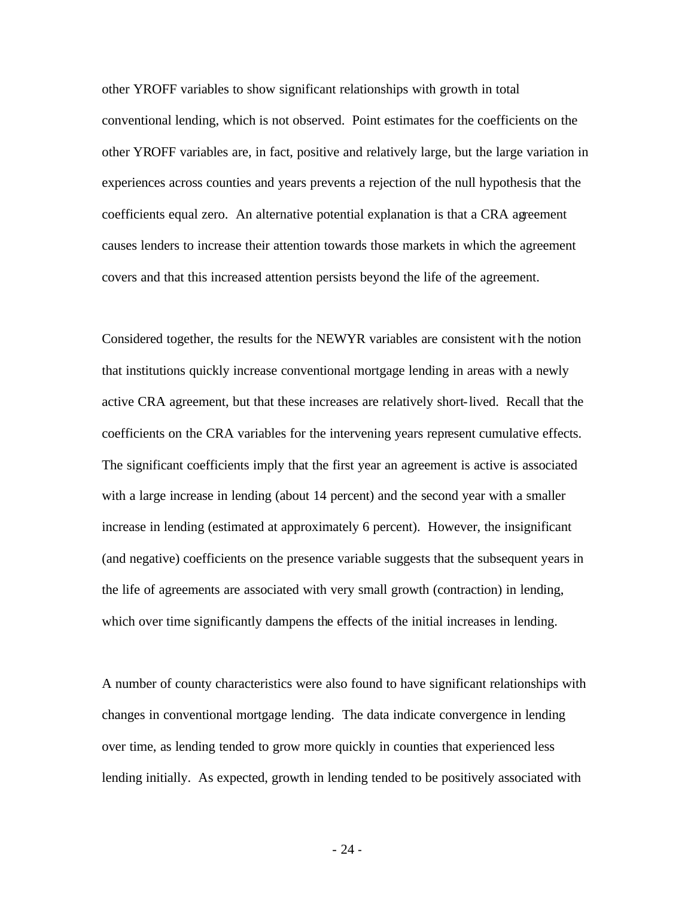other YROFF variables to show significant relationships with growth in total conventional lending, which is not observed. Point estimates for the coefficients on the other YROFF variables are, in fact, positive and relatively large, but the large variation in experiences across counties and years prevents a rejection of the null hypothesis that the coefficients equal zero. An alternative potential explanation is that a CRA agreement causes lenders to increase their attention towards those markets in which the agreement covers and that this increased attention persists beyond the life of the agreement.

Considered together, the results for the NEWYR variables are consistent with the notion that institutions quickly increase conventional mortgage lending in areas with a newly active CRA agreement, but that these increases are relatively short-lived. Recall that the coefficients on the CRA variables for the intervening years represent cumulative effects. The significant coefficients imply that the first year an agreement is active is associated with a large increase in lending (about 14 percent) and the second year with a smaller increase in lending (estimated at approximately 6 percent). However, the insignificant (and negative) coefficients on the presence variable suggests that the subsequent years in the life of agreements are associated with very small growth (contraction) in lending, which over time significantly dampens the effects of the initial increases in lending.

A number of county characteristics were also found to have significant relationships with changes in conventional mortgage lending. The data indicate convergence in lending over time, as lending tended to grow more quickly in counties that experienced less lending initially. As expected, growth in lending tended to be positively associated with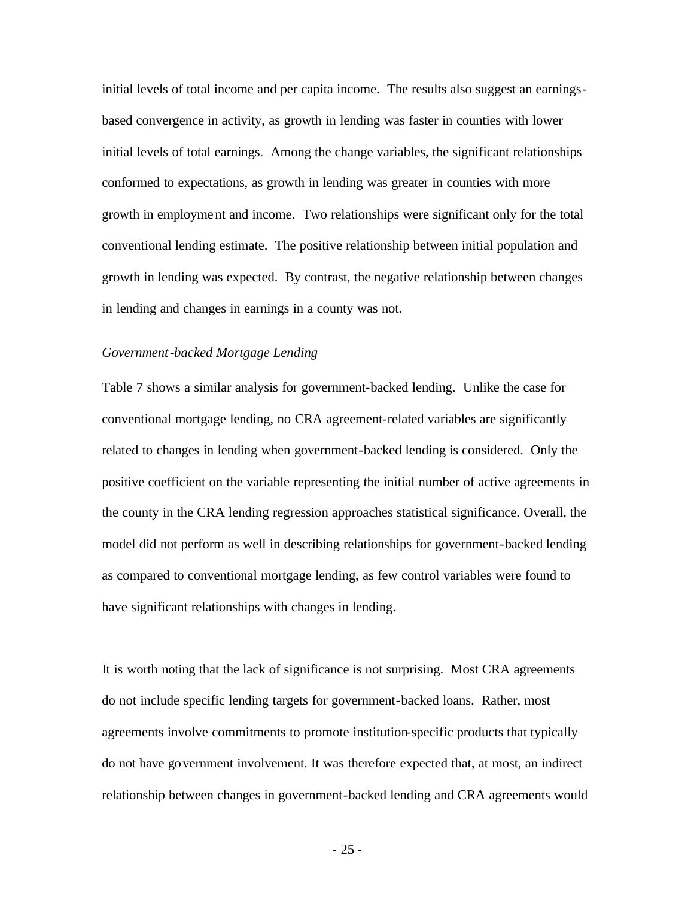initial levels of total income and per capita income. The results also suggest an earningsbased convergence in activity, as growth in lending was faster in counties with lower initial levels of total earnings. Among the change variables, the significant relationships conformed to expectations, as growth in lending was greater in counties with more growth in employment and income. Two relationships were significant only for the total conventional lending estimate. The positive relationship between initial population and growth in lending was expected. By contrast, the negative relationship between changes in lending and changes in earnings in a county was not.

### *Government-backed Mortgage Lending*

Table 7 shows a similar analysis for government-backed lending. Unlike the case for conventional mortgage lending, no CRA agreement-related variables are significantly related to changes in lending when government-backed lending is considered. Only the positive coefficient on the variable representing the initial number of active agreements in the county in the CRA lending regression approaches statistical significance. Overall, the model did not perform as well in describing relationships for government-backed lending as compared to conventional mortgage lending, as few control variables were found to have significant relationships with changes in lending.

It is worth noting that the lack of significance is not surprising. Most CRA agreements do not include specific lending targets for government-backed loans. Rather, most agreements involve commitments to promote institution-specific products that typically do not have government involvement. It was therefore expected that, at most, an indirect relationship between changes in government-backed lending and CRA agreements would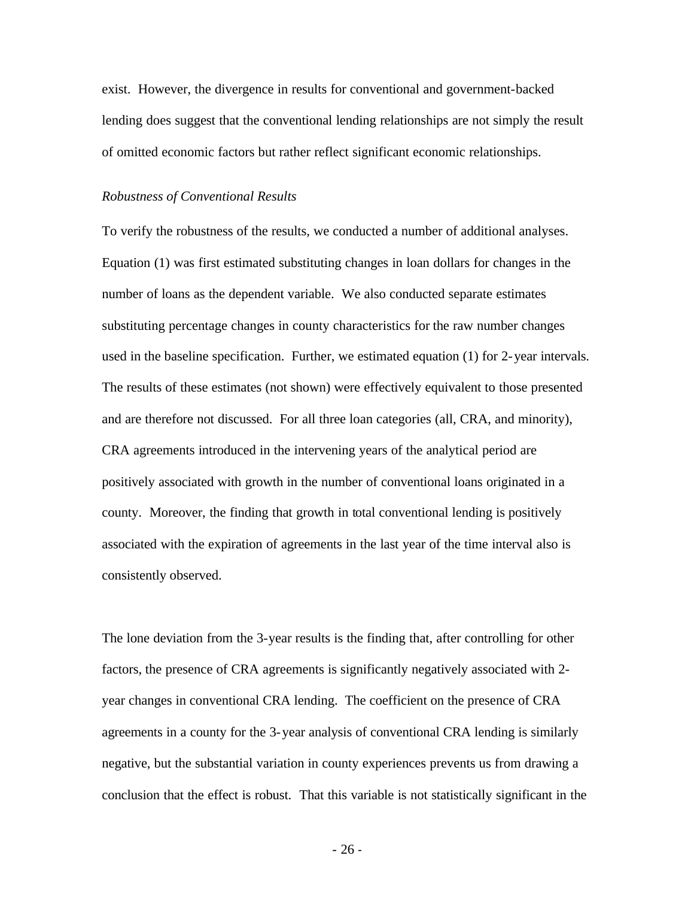exist. However, the divergence in results for conventional and government-backed lending does suggest that the conventional lending relationships are not simply the result of omitted economic factors but rather reflect significant economic relationships.

#### *Robustness of Conventional Results*

To verify the robustness of the results, we conducted a number of additional analyses. Equation (1) was first estimated substituting changes in loan dollars for changes in the number of loans as the dependent variable. We also conducted separate estimates substituting percentage changes in county characteristics for the raw number changes used in the baseline specification. Further, we estimated equation (1) for 2-year intervals. The results of these estimates (not shown) were effectively equivalent to those presented and are therefore not discussed. For all three loan categories (all, CRA, and minority), CRA agreements introduced in the intervening years of the analytical period are positively associated with growth in the number of conventional loans originated in a county. Moreover, the finding that growth in total conventional lending is positively associated with the expiration of agreements in the last year of the time interval also is consistently observed.

The lone deviation from the 3-year results is the finding that, after controlling for other factors, the presence of CRA agreements is significantly negatively associated with 2 year changes in conventional CRA lending. The coefficient on the presence of CRA agreements in a county for the 3-year analysis of conventional CRA lending is similarly negative, but the substantial variation in county experiences prevents us from drawing a conclusion that the effect is robust. That this variable is not statistically significant in the

- 26 -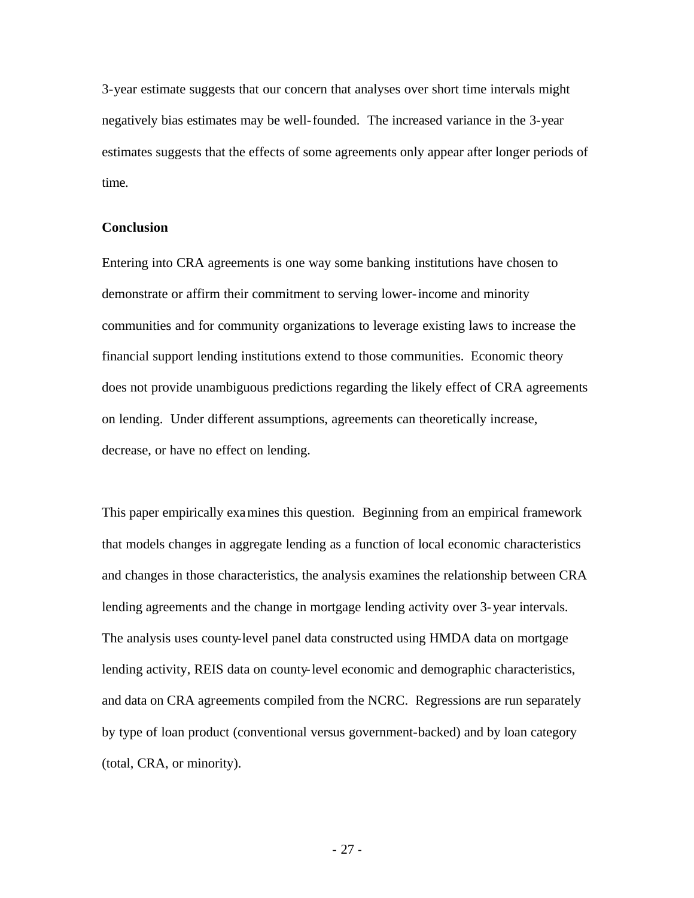3-year estimate suggests that our concern that analyses over short time intervals might negatively bias estimates may be well-founded. The increased variance in the 3-year estimates suggests that the effects of some agreements only appear after longer periods of time.

#### **Conclusion**

Entering into CRA agreements is one way some banking institutions have chosen to demonstrate or affirm their commitment to serving lower-income and minority communities and for community organizations to leverage existing laws to increase the financial support lending institutions extend to those communities. Economic theory does not provide unambiguous predictions regarding the likely effect of CRA agreements on lending. Under different assumptions, agreements can theoretically increase, decrease, or have no effect on lending.

This paper empirically examines this question. Beginning from an empirical framework that models changes in aggregate lending as a function of local economic characteristics and changes in those characteristics, the analysis examines the relationship between CRA lending agreements and the change in mortgage lending activity over 3-year intervals. The analysis uses county-level panel data constructed using HMDA data on mortgage lending activity, REIS data on county-level economic and demographic characteristics, and data on CRA agreements compiled from the NCRC. Regressions are run separately by type of loan product (conventional versus government-backed) and by loan category (total, CRA, or minority).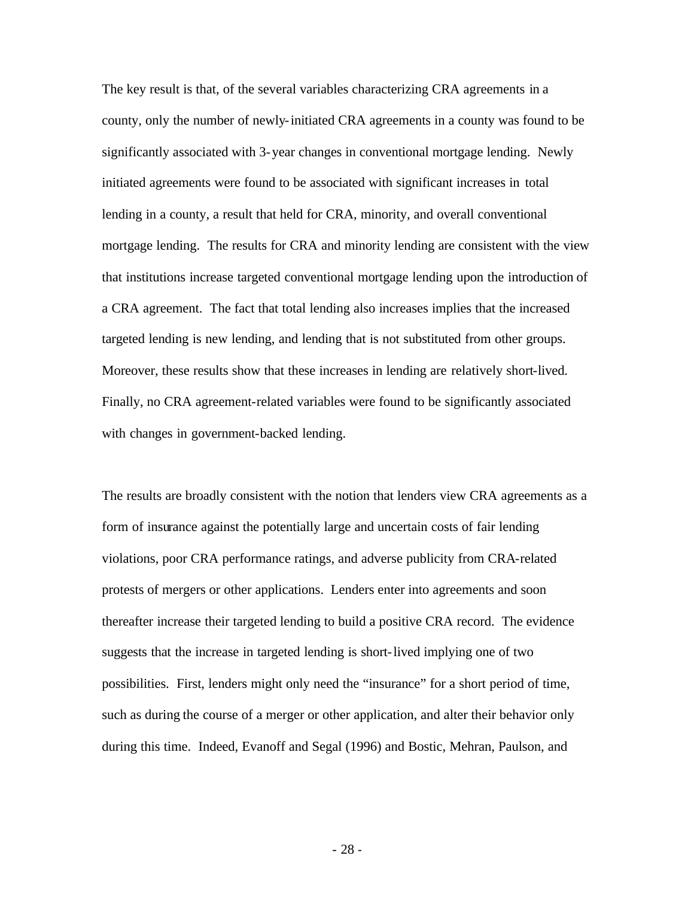The key result is that, of the several variables characterizing CRA agreements in a county, only the number of newly-initiated CRA agreements in a county was found to be significantly associated with 3-year changes in conventional mortgage lending. Newly initiated agreements were found to be associated with significant increases in total lending in a county, a result that held for CRA, minority, and overall conventional mortgage lending. The results for CRA and minority lending are consistent with the view that institutions increase targeted conventional mortgage lending upon the introduction of a CRA agreement. The fact that total lending also increases implies that the increased targeted lending is new lending, and lending that is not substituted from other groups. Moreover, these results show that these increases in lending are relatively short-lived. Finally, no CRA agreement-related variables were found to be significantly associated with changes in government-backed lending.

The results are broadly consistent with the notion that lenders view CRA agreements as a form of insurance against the potentially large and uncertain costs of fair lending violations, poor CRA performance ratings, and adverse publicity from CRA-related protests of mergers or other applications. Lenders enter into agreements and soon thereafter increase their targeted lending to build a positive CRA record. The evidence suggests that the increase in targeted lending is short-lived implying one of two possibilities. First, lenders might only need the "insurance" for a short period of time, such as during the course of a merger or other application, and alter their behavior only during this time. Indeed, Evanoff and Segal (1996) and Bostic, Mehran, Paulson, and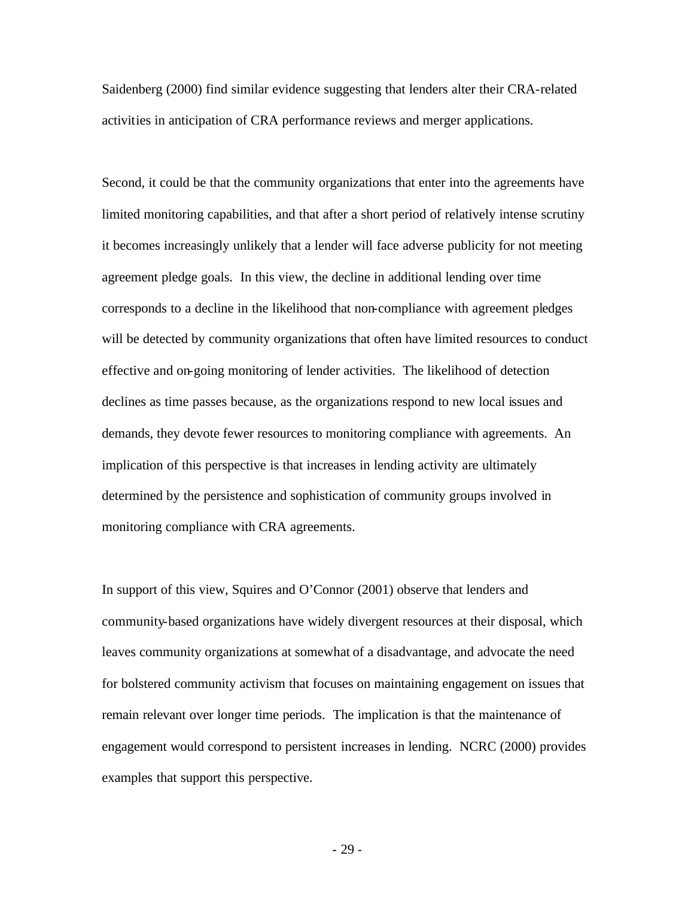Saidenberg (2000) find similar evidence suggesting that lenders alter their CRA-related activities in anticipation of CRA performance reviews and merger applications.

Second, it could be that the community organizations that enter into the agreements have limited monitoring capabilities, and that after a short period of relatively intense scrutiny it becomes increasingly unlikely that a lender will face adverse publicity for not meeting agreement pledge goals. In this view, the decline in additional lending over time corresponds to a decline in the likelihood that non-compliance with agreement pledges will be detected by community organizations that often have limited resources to conduct effective and on-going monitoring of lender activities. The likelihood of detection declines as time passes because, as the organizations respond to new local issues and demands, they devote fewer resources to monitoring compliance with agreements. An implication of this perspective is that increases in lending activity are ultimately determined by the persistence and sophistication of community groups involved in monitoring compliance with CRA agreements.

In support of this view, Squires and O'Connor (2001) observe that lenders and community-based organizations have widely divergent resources at their disposal, which leaves community organizations at somewhat of a disadvantage, and advocate the need for bolstered community activism that focuses on maintaining engagement on issues that remain relevant over longer time periods. The implication is that the maintenance of engagement would correspond to persistent increases in lending. NCRC (2000) provides examples that support this perspective.

- 29 -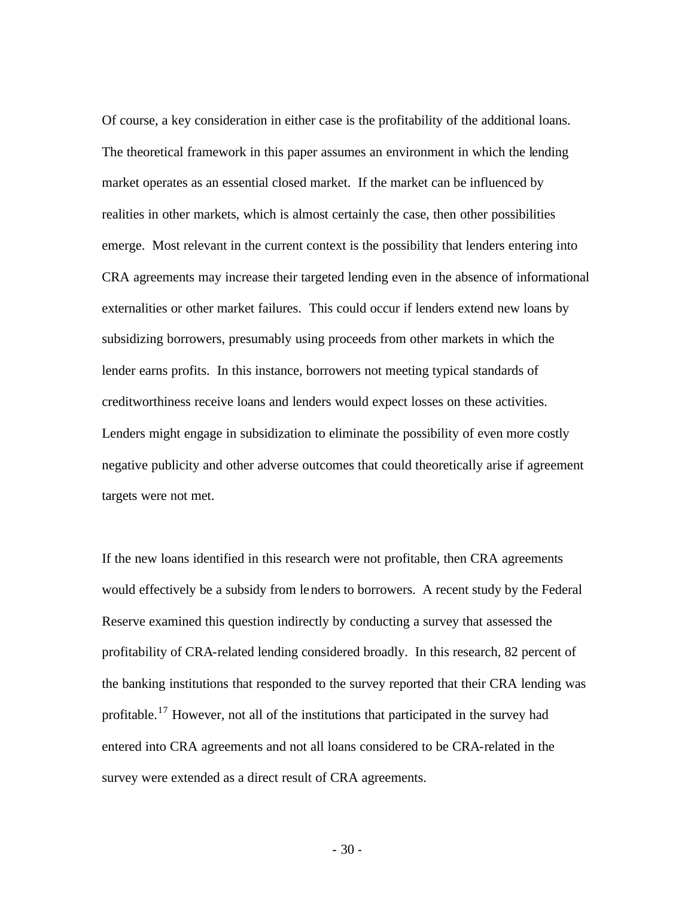Of course, a key consideration in either case is the profitability of the additional loans. The theoretical framework in this paper assumes an environment in which the lending market operates as an essential closed market. If the market can be influenced by realities in other markets, which is almost certainly the case, then other possibilities emerge. Most relevant in the current context is the possibility that lenders entering into CRA agreements may increase their targeted lending even in the absence of informational externalities or other market failures. This could occur if lenders extend new loans by subsidizing borrowers, presumably using proceeds from other markets in which the lender earns profits. In this instance, borrowers not meeting typical standards of creditworthiness receive loans and lenders would expect losses on these activities. Lenders might engage in subsidization to eliminate the possibility of even more costly negative publicity and other adverse outcomes that could theoretically arise if agreement targets were not met.

If the new loans identified in this research were not profitable, then CRA agreements would effectively be a subsidy from lenders to borrowers. A recent study by the Federal Reserve examined this question indirectly by conducting a survey that assessed the profitability of CRA-related lending considered broadly. In this research, 82 percent of the banking institutions that responded to the survey reported that their CRA lending was profitable.<sup>17</sup> However, not all of the institutions that participated in the survey had entered into CRA agreements and not all loans considered to be CRA-related in the survey were extended as a direct result of CRA agreements.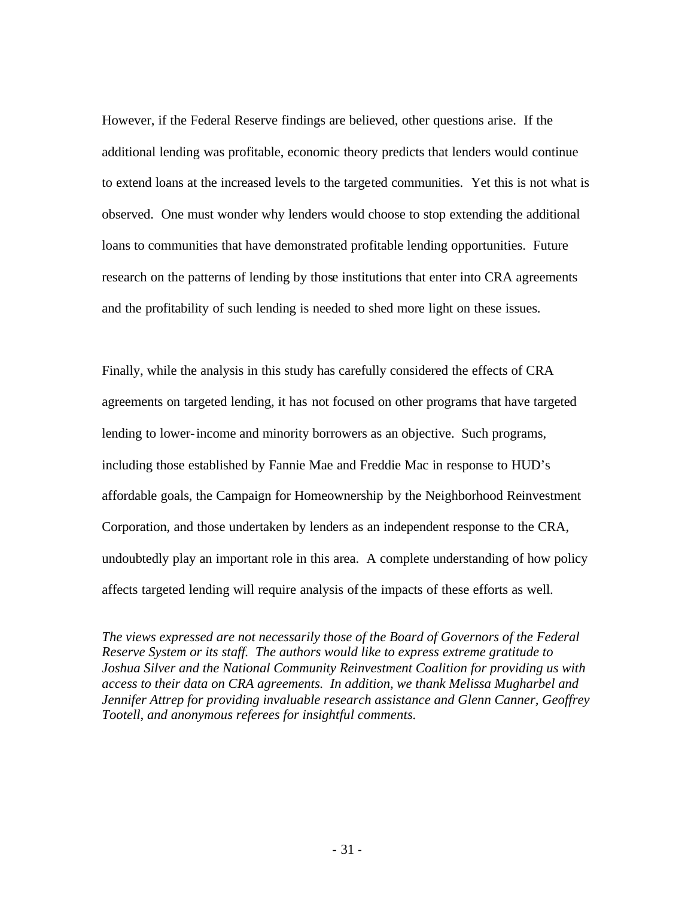However, if the Federal Reserve findings are believed, other questions arise. If the additional lending was profitable, economic theory predicts that lenders would continue to extend loans at the increased levels to the targeted communities. Yet this is not what is observed. One must wonder why lenders would choose to stop extending the additional loans to communities that have demonstrated profitable lending opportunities. Future research on the patterns of lending by those institutions that enter into CRA agreements and the profitability of such lending is needed to shed more light on these issues.

Finally, while the analysis in this study has carefully considered the effects of CRA agreements on targeted lending, it has not focused on other programs that have targeted lending to lower-income and minority borrowers as an objective. Such programs, including those established by Fannie Mae and Freddie Mac in response to HUD's affordable goals, the Campaign for Homeownership by the Neighborhood Reinvestment Corporation, and those undertaken by lenders as an independent response to the CRA, undoubtedly play an important role in this area. A complete understanding of how policy affects targeted lending will require analysis of the impacts of these efforts as well.

*The views expressed are not necessarily those of the Board of Governors of the Federal Reserve System or its staff. The authors would like to express extreme gratitude to Joshua Silver and the National Community Reinvestment Coalition for providing us with access to their data on CRA agreements. In addition, we thank Melissa Mugharbel and Jennifer Attrep for providing invaluable research assistance and Glenn Canner, Geoffrey Tootell, and anonymous referees for insightful comments.*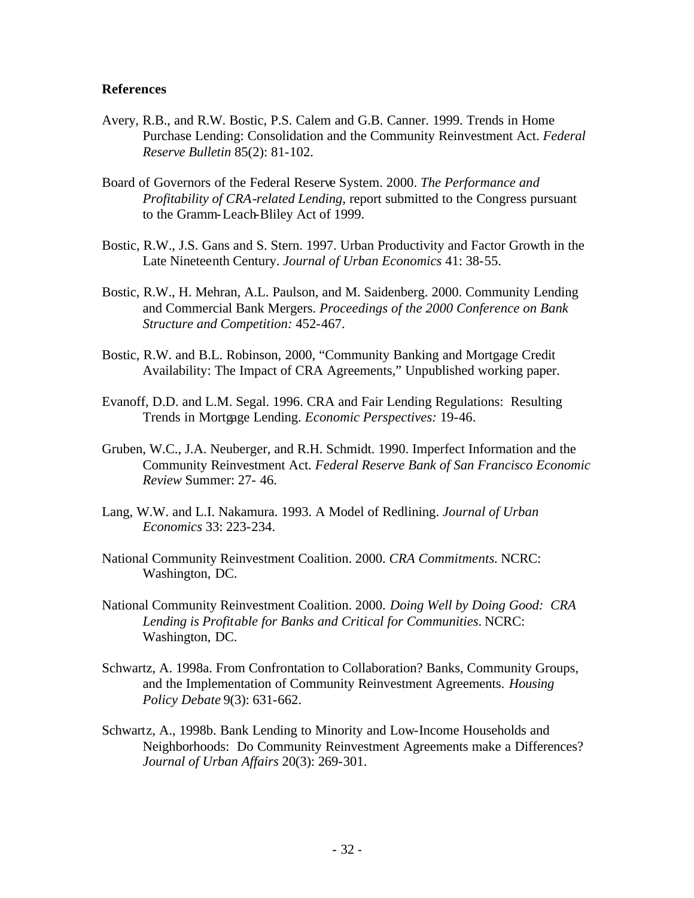### **References**

- Avery, R.B., and R.W. Bostic, P.S. Calem and G.B. Canner. 1999. Trends in Home Purchase Lending: Consolidation and the Community Reinvestment Act. *Federal Reserve Bulletin* 85(2): 81-102.
- Board of Governors of the Federal Reserve System. 2000. *The Performance and Profitability of CRA-related Lending*, report submitted to the Congress pursuant to the Gramm-Leach-Bliley Act of 1999.
- Bostic, R.W., J.S. Gans and S. Stern. 1997. Urban Productivity and Factor Growth in the Late Nineteenth Century. *Journal of Urban Economics* 41: 38-55.
- Bostic, R.W., H. Mehran, A.L. Paulson, and M. Saidenberg. 2000. Community Lending and Commercial Bank Mergers. *Proceedings of the 2000 Conference on Bank Structure and Competition:* 452-467.
- Bostic, R.W. and B.L. Robinson, 2000, "Community Banking and Mortgage Credit Availability: The Impact of CRA Agreements," Unpublished working paper.
- Evanoff, D.D. and L.M. Segal. 1996. CRA and Fair Lending Regulations: Resulting Trends in Mortgage Lending. *Economic Perspectives:* 19-46.
- Gruben, W.C., J.A. Neuberger, and R.H. Schmidt. 1990. Imperfect Information and the Community Reinvestment Act. *Federal Reserve Bank of San Francisco Economic Review* Summer: 27- 46.
- Lang, W.W. and L.I. Nakamura. 1993. A Model of Redlining. *Journal of Urban Economics* 33: 223-234.
- National Community Reinvestment Coalition. 2000. *CRA Commitments.* NCRC: Washington, DC.
- National Community Reinvestment Coalition. 2000. *Doing Well by Doing Good: CRA Lending is Profitable for Banks and Critical for Communities*. NCRC: Washington, DC.
- Schwartz, A. 1998a. From Confrontation to Collaboration? Banks, Community Groups, and the Implementation of Community Reinvestment Agreements. *Housing Policy Debate* 9(3): 631-662.
- Schwartz, A., 1998b. Bank Lending to Minority and Low-Income Households and Neighborhoods: Do Community Reinvestment Agreements make a Differences? *Journal of Urban Affairs* 20(3): 269-301.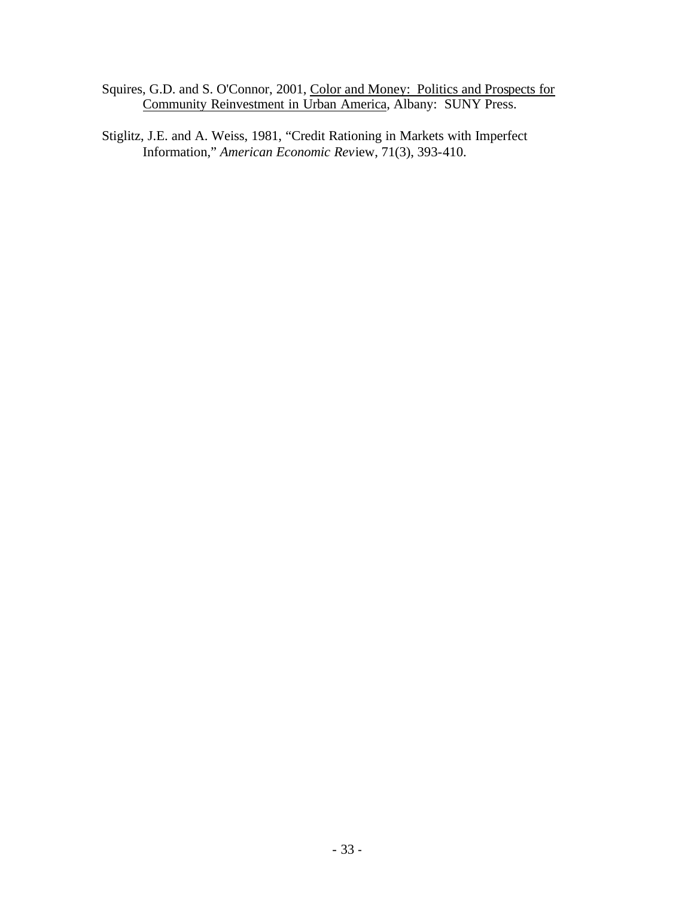- Squires, G.D. and S. O'Connor, 2001, Color and Money: Politics and Prospects for Community Reinvestment in Urban America, Albany: SUNY Press.
- Stiglitz, J.E. and A. Weiss, 1981, "Credit Rationing in Markets with Imperfect Information," *American Economic Rev*iew, 71(3), 393-410.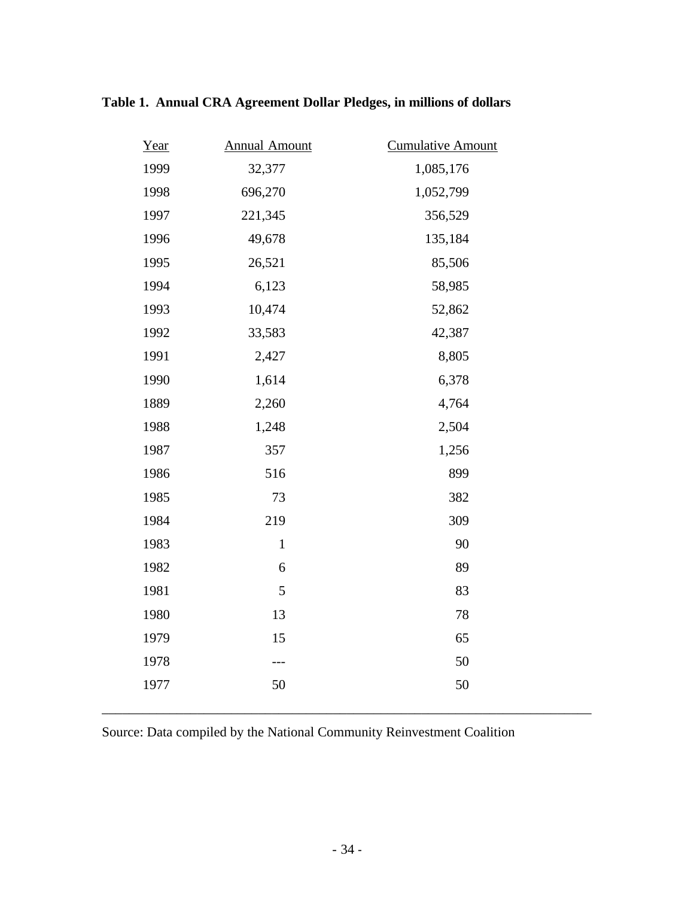| Year | <b>Annual Amount</b> | <b>Cumulative Amount</b> |  |
|------|----------------------|--------------------------|--|
| 1999 | 32,377               | 1,085,176                |  |
| 1998 | 696,270              | 1,052,799                |  |
| 1997 | 221,345              | 356,529                  |  |
| 1996 | 49,678               | 135,184                  |  |
| 1995 | 26,521               | 85,506                   |  |
| 1994 | 6,123                | 58,985                   |  |
| 1993 | 10,474               | 52,862                   |  |
| 1992 | 33,583               | 42,387                   |  |
| 1991 | 2,427                | 8,805                    |  |
| 1990 | 1,614                | 6,378                    |  |
| 1889 | 2,260                | 4,764                    |  |
| 1988 | 1,248                | 2,504                    |  |
| 1987 | 357                  | 1,256                    |  |
| 1986 | 516                  | 899                      |  |
| 1985 | 73                   | 382                      |  |
| 1984 | 219                  | 309                      |  |
| 1983 | $\mathbf{1}$         | 90                       |  |
| 1982 | 6                    | 89                       |  |
| 1981 | 5                    | 83                       |  |
| 1980 | 13                   | $78\,$                   |  |
| 1979 | 15                   | 65                       |  |
| 1978 | ---                  | 50                       |  |
| 1977 | 50                   | 50                       |  |
|      |                      |                          |  |

# **Table 1. Annual CRA Agreement Dollar Pledges, in millions of dollars**

Source: Data compiled by the National Community Reinvestment Coalition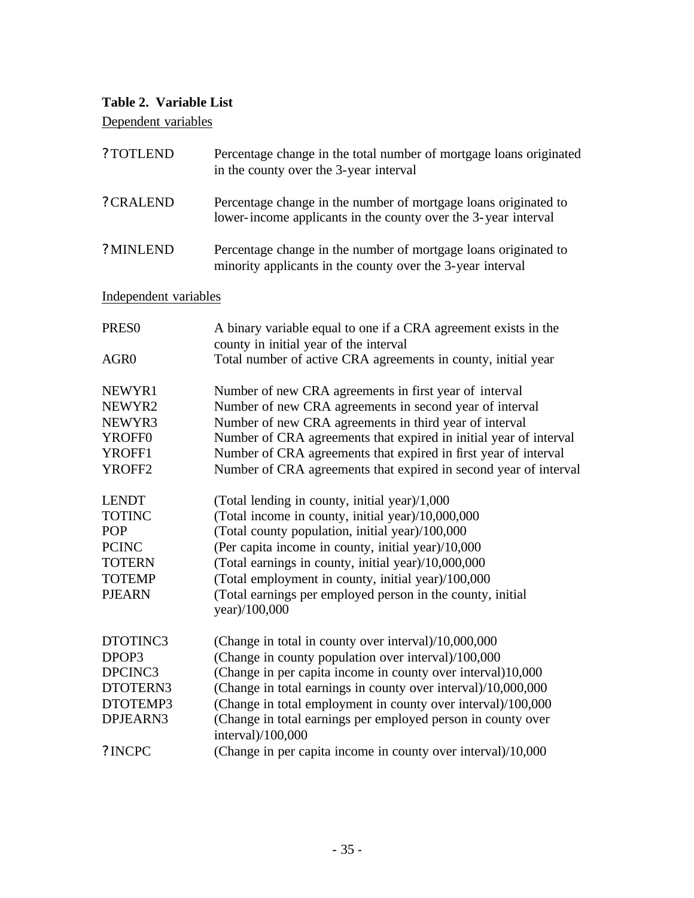## **Table 2. Variable List**

Dependent variables

| ? TOTLEND             | Percentage change in the total number of mortgage loans originated<br>in the county over the 3-year interval                      |  |  |
|-----------------------|-----------------------------------------------------------------------------------------------------------------------------------|--|--|
| ? CRALEND             | Percentage change in the number of mortgage loans originated to<br>lower-income applicants in the county over the 3-year interval |  |  |
| ? MINLEND             | Percentage change in the number of mortgage loans originated to<br>minority applicants in the county over the 3-year interval     |  |  |
| Independent variables |                                                                                                                                   |  |  |
| <b>PRESO</b>          | A binary variable equal to one if a CRA agreement exists in the<br>county in initial year of the interval                         |  |  |
| AGR <sub>0</sub>      | Total number of active CRA agreements in county, initial year                                                                     |  |  |
| NEWYR1                | Number of new CRA agreements in first year of interval                                                                            |  |  |
| NEWYR2                | Number of new CRA agreements in second year of interval                                                                           |  |  |
| NEWYR3                | Number of new CRA agreements in third year of interval                                                                            |  |  |
| YROFF <sub>0</sub>    | Number of CRA agreements that expired in initial year of interval                                                                 |  |  |
| YROFF1                | Number of CRA agreements that expired in first year of interval                                                                   |  |  |
| YROFF2                | Number of CRA agreements that expired in second year of interval                                                                  |  |  |
| <b>LENDT</b>          | (Total lending in county, initial year)/1,000                                                                                     |  |  |
| <b>TOTINC</b>         | (Total income in county, initial year)/10,000,000                                                                                 |  |  |
| POP                   | (Total county population, initial year)/100,000                                                                                   |  |  |
| <b>PCINC</b>          | (Per capita income in county, initial year)/10,000                                                                                |  |  |
| <b>TOTERN</b>         | (Total earnings in county, initial year)/10,000,000                                                                               |  |  |
| <b>TOTEMP</b>         | (Total employment in county, initial year)/100,000                                                                                |  |  |
| <b>PJEARN</b>         | (Total earnings per employed person in the county, initial<br>year)/100,000                                                       |  |  |
| DTOTINC3              | (Change in total in county over interval)/10,000,000                                                                              |  |  |
| DPOP3                 | (Change in county population over interval)/100,000                                                                               |  |  |
| DPCINC3               | (Change in per capita income in county over interval)10,000                                                                       |  |  |
| DTOTERN3              | (Change in total earnings in county over interval)/10,000,000                                                                     |  |  |
| DTOTEMP3              | (Change in total employment in county over interval)/100,000                                                                      |  |  |
| DPJEARN3              | (Change in total earnings per employed person in county over<br>interval)/100,000                                                 |  |  |
| ? INCPC               | (Change in per capita income in county over interval)/10,000                                                                      |  |  |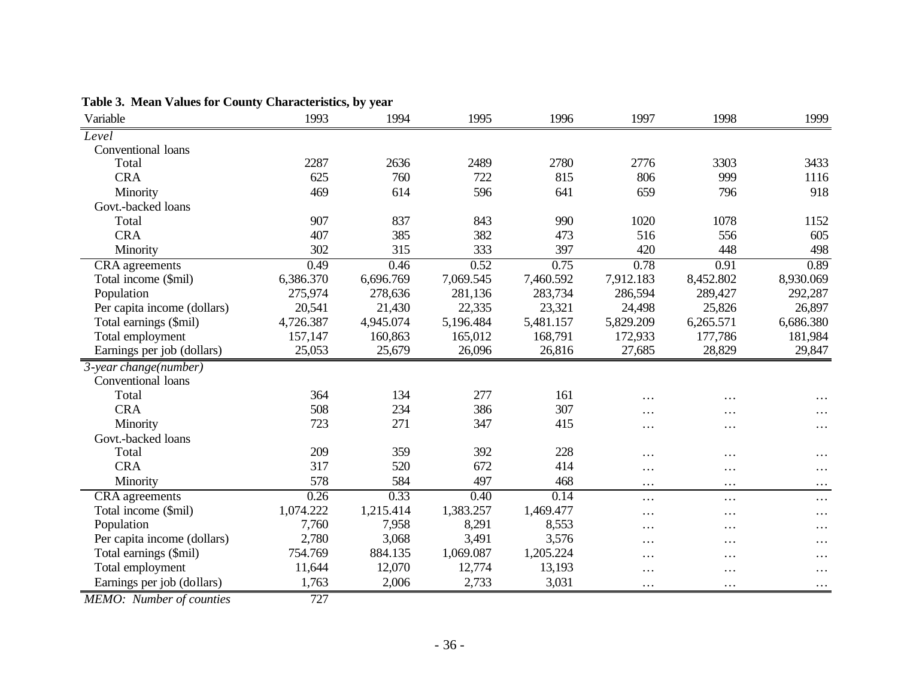| Variable                                   | 1993             | 1994      | 1995              | 1996      | 1997      | 1998      | 1999      |
|--------------------------------------------|------------------|-----------|-------------------|-----------|-----------|-----------|-----------|
| Level                                      |                  |           |                   |           |           |           |           |
| Conventional loans                         |                  |           |                   |           |           |           |           |
| Total                                      | 2287             | 2636      | 2489              | 2780      | 2776      | 3303      | 3433      |
| <b>CRA</b>                                 | 625              | 760       | 722               | 815       | 806       | 999       | 1116      |
| Minority                                   | 469              | 614       | 596               | 641       | 659       | 796       | 918       |
| Govt.-backed loans                         |                  |           |                   |           |           |           |           |
| Total                                      | 907              | 837       | 843               | 990       | 1020      | 1078      | 1152      |
| <b>CRA</b>                                 | 407              | 385       | 382               | 473       | 516       | 556       | 605       |
| Minority                                   | 302              | 315       | 333               | 397       | 420       | 448       | 498       |
| CRA agreements                             | 0.49             | 0.46      | 0.52              | 0.75      | 0.78      | 0.91      | 0.89      |
| Total income (\$mil)                       | 6,386.370        | 6,696.769 | 7,069.545         | 7,460.592 | 7,912.183 | 8,452.802 | 8,930.069 |
| Population                                 | 275,974          | 278,636   | 281,136           | 283,734   | 286,594   | 289,427   | 292,287   |
| Per capita income (dollars)                | 20,541           | 21,430    | 22,335            | 23,321    | 24,498    | 25,826    | 26,897    |
| Total earnings (\$mil)                     | 4,726.387        | 4,945.074 | 5,196.484         | 5,481.157 | 5,829.209 | 6,265.571 | 6,686.380 |
| Total employment                           | 157,147          | 160,863   | 165,012           | 168,791   | 172,933   | 177,786   | 181,984   |
| Earnings per job (dollars)                 | 25,053           | 25,679    | 26,096            | 26,816    | 27,685    | 28,829    | 29,847    |
| $\overline{3\text{-}year}\,change(number)$ |                  |           |                   |           |           |           |           |
| Conventional loans                         |                  |           |                   |           |           |           |           |
| Total                                      | 364              | 134       | 277               | 161       | $\cdots$  | $\cdots$  | $\cdots$  |
| <b>CRA</b>                                 | 508              | 234       | 386               | 307       | $\cdots$  | $\cdots$  | $\cdots$  |
| Minority                                   | 723              | 271       | 347               | 415       | $\cdots$  | $\cdots$  | $\cdots$  |
| Govt.-backed loans                         |                  |           |                   |           |           |           |           |
| Total                                      | 209              | 359       | 392               | 228       | .         | $\cdots$  | $\cdots$  |
| <b>CRA</b>                                 | 317              | 520       | 672               | 414       | .         | $\cdots$  | $\cdots$  |
| Minority                                   | 578              | 584       | 497               | 468       | $\cdots$  | $\cdots$  | $\cdots$  |
| <b>CRA</b> agreements                      | 0.26             | 0.33      | $\overline{0.40}$ | 0.14      | $\cdots$  | $\cdots$  | $\cdots$  |
| Total income (\$mil)                       | 1,074.222        | 1,215.414 | 1,383.257         | 1,469.477 | .         | $\cdots$  | $\cdots$  |
| Population                                 | 7,760            | 7,958     | 8,291             | 8,553     | .         | $\cdots$  | $\cdots$  |
| Per capita income (dollars)                | 2,780            | 3,068     | 3,491             | 3,576     | .         | $\cdots$  | $\cdots$  |
| Total earnings (\$mil)                     | 754.769          | 884.135   | 1,069.087         | 1,205.224 | $\cdots$  | $\cdots$  | $\cdots$  |
| Total employment                           | 11,644           | 12,070    | 12,774            | 13,193    | .         | $\cdots$  | $\cdots$  |
| Earnings per job (dollars)                 | 1,763            | 2,006     | 2,733             | 3,031     | $\cdots$  | $\cdots$  | $\cdots$  |
| $MLMA$ , $Numbar$ of counting              | $\overline{727}$ |           |                   |           |           |           |           |

**Table 3. Mean Values for County Characteristics, by year**

*MEMO: Number of counties* 727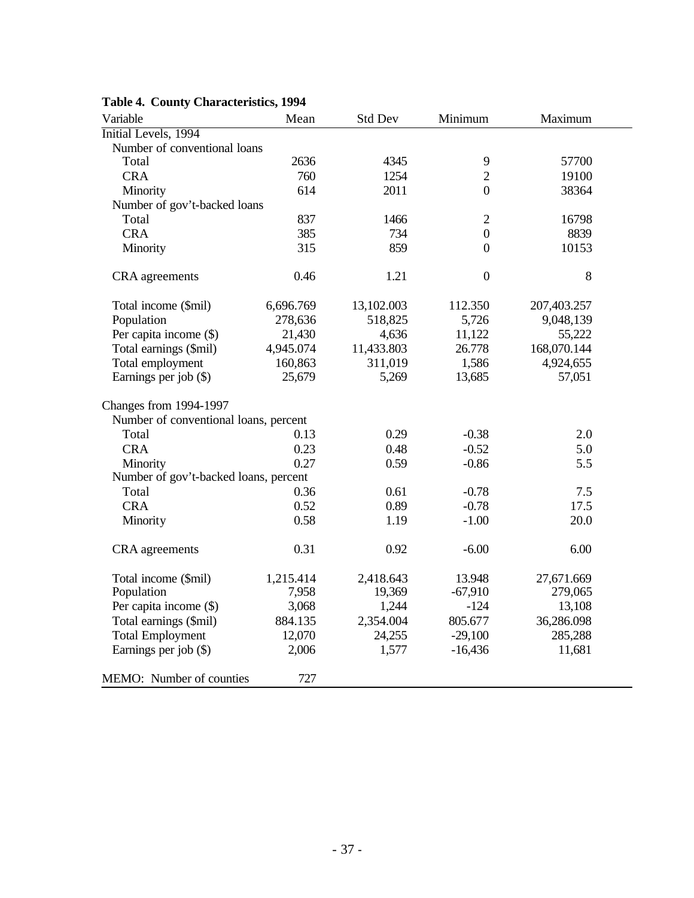| Variable                              | Mean      | Std Dev    | Minimum          | Maximum     |
|---------------------------------------|-----------|------------|------------------|-------------|
| Initial Levels, 1994                  |           |            |                  |             |
| Number of conventional loans          |           |            |                  |             |
| Total                                 | 2636      | 4345       | 9                | 57700       |
| <b>CRA</b>                            | 760       | 1254       | $\overline{2}$   | 19100       |
| Minority                              | 614       | 2011       | $\boldsymbol{0}$ | 38364       |
| Number of gov't-backed loans          |           |            |                  |             |
| Total                                 | 837       | 1466       | $\overline{2}$   | 16798       |
| <b>CRA</b>                            | 385       | 734        | $\mathbf{0}$     | 8839        |
| Minority                              | 315       | 859        | $\boldsymbol{0}$ | 10153       |
| CRA agreements                        | 0.46      | 1.21       | $\boldsymbol{0}$ | 8           |
| Total income (\$mil)                  | 6,696.769 | 13,102.003 | 112.350          | 207,403.257 |
| Population                            | 278,636   | 518,825    | 5,726            | 9,048,139   |
| Per capita income (\$)                | 21,430    | 4,636      | 11,122           | 55,222      |
| Total earnings (\$mil)                | 4,945.074 | 11,433.803 | 26.778           | 168,070.144 |
| Total employment                      | 160,863   | 311,019    | 1,586            | 4,924,655   |
| Earnings per job (\$)                 | 25,679    | 5,269      | 13,685           | 57,051      |
| <b>Changes from 1994-1997</b>         |           |            |                  |             |
| Number of conventional loans, percent |           |            |                  |             |
| Total                                 | 0.13      | 0.29       | $-0.38$          | 2.0         |
| <b>CRA</b>                            | 0.23      | 0.48       | $-0.52$          | 5.0         |
| Minority                              | 0.27      | 0.59       | $-0.86$          | 5.5         |
| Number of gov't-backed loans, percent |           |            |                  |             |
| Total                                 | 0.36      | 0.61       | $-0.78$          | 7.5         |
| <b>CRA</b>                            | 0.52      | 0.89       | $-0.78$          | 17.5        |
| Minority                              | 0.58      | 1.19       | $-1.00$          | 20.0        |
| CRA agreements                        | 0.31      | 0.92       | $-6.00$          | 6.00        |
| Total income (\$mil)                  | 1,215.414 | 2,418.643  | 13.948           | 27,671.669  |
| Population                            | 7,958     | 19,369     | $-67,910$        | 279,065     |
| Per capita income (\$)                | 3,068     | 1,244      | $-124$           | 13,108      |
| Total earnings (\$mil)                | 884.135   | 2,354.004  | 805.677          | 36,286.098  |
| <b>Total Employment</b>               | 12,070    | 24,255     | $-29,100$        | 285,288     |
| Earnings per job (\$)                 | 2,006     | 1,577      | $-16,436$        | 11,681      |
| MEMO: Number of counties              | 727       |            |                  |             |

## **Table 4. County Characteristics, 1994**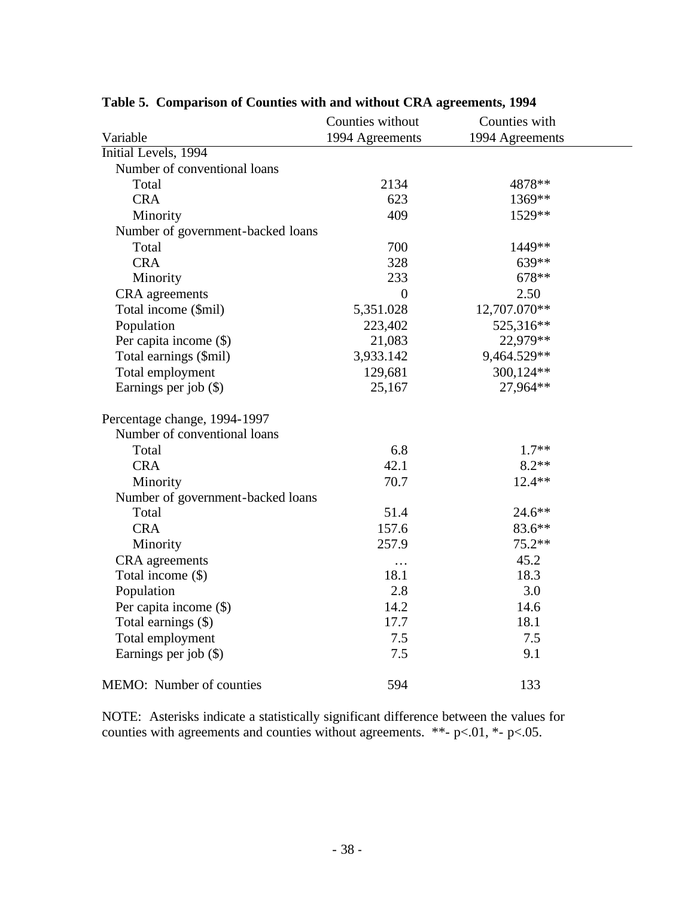|                                   | Counties without | Counties with   |  |  |
|-----------------------------------|------------------|-----------------|--|--|
| Variable                          | 1994 Agreements  | 1994 Agreements |  |  |
| Initial Levels, 1994              |                  |                 |  |  |
| Number of conventional loans      |                  |                 |  |  |
| Total                             | 2134             | 4878**          |  |  |
| <b>CRA</b>                        | 623              | 1369**          |  |  |
| Minority                          | 409              | 1529**          |  |  |
| Number of government-backed loans |                  |                 |  |  |
| Total                             | 700              | 1449**          |  |  |
| <b>CRA</b>                        | 328              | 639**           |  |  |
| Minority                          | 233              | 678**           |  |  |
| <b>CRA</b> agreements             | $\boldsymbol{0}$ | 2.50            |  |  |
| Total income (\$mil)              | 5,351.028        | 12,707.070**    |  |  |
| Population                        | 223,402          | 525,316**       |  |  |
| Per capita income (\$)            | 21,083           | 22,979**        |  |  |
| Total earnings (\$mil)            | 3,933.142        | 9,464.529**     |  |  |
| Total employment                  | 129,681          | 300,124**       |  |  |
| Earnings per job (\$)             | 25,167           | 27,964**        |  |  |
| Percentage change, 1994-1997      |                  |                 |  |  |
| Number of conventional loans      |                  |                 |  |  |
| Total                             | 6.8              | $1.7**$         |  |  |
| <b>CRA</b>                        | 42.1             | $8.2**$         |  |  |
| Minority                          | 70.7             | $12.4**$        |  |  |
| Number of government-backed loans |                  |                 |  |  |
| Total                             | 51.4             | 24.6**          |  |  |
| <b>CRA</b>                        | 157.6            | 83.6**          |  |  |
| Minority                          | 257.9            | 75.2**          |  |  |
| CRA agreements                    | $\cdots$         | 45.2            |  |  |
| Total income (\$)                 | 18.1             | 18.3            |  |  |
| Population                        | 2.8              | 3.0             |  |  |
| Per capita income (\$)            | 14.2             | 14.6            |  |  |
| Total earnings (\$)               | 17.7             | 18.1            |  |  |
| Total employment                  | 7.5              | 7.5             |  |  |
| Earnings per job (\$)             | 7.5              | 9.1             |  |  |
| MEMO: Number of counties          | 594              | 133             |  |  |

## **Table 5. Comparison of Counties with and without CRA agreements, 1994**

NOTE: Asterisks indicate a statistically significant difference between the values for counties with agreements and counties without agreements. \*\*-  $p<.01$ , \*-  $p<.05$ .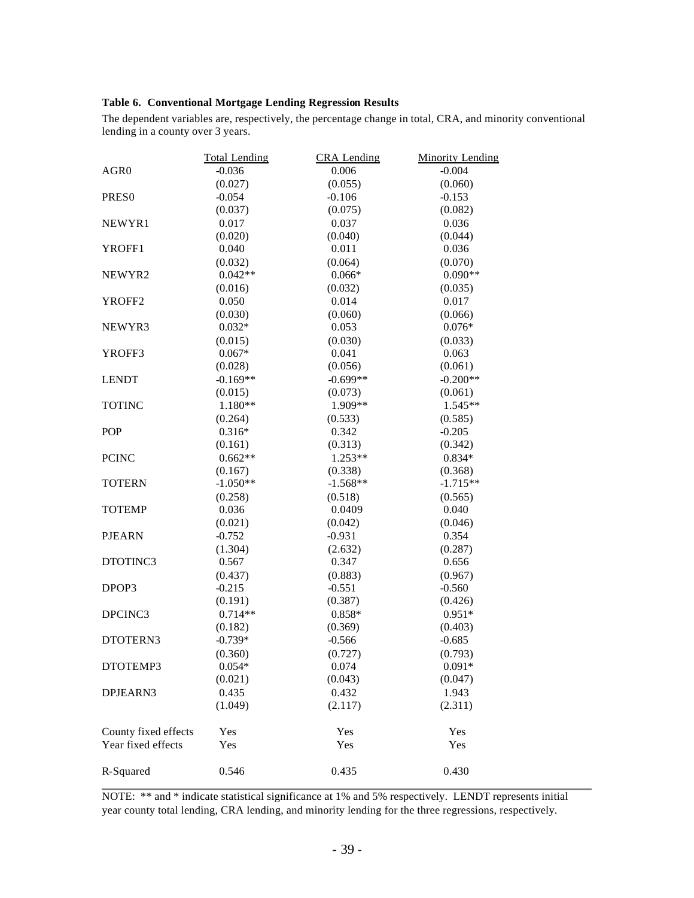### **Table 6. Conventional Mortgage Lending Regression Results**

The dependent variables are, respectively, the percentage change in total, CRA, and minority conventional lending in a county over 3 years.

|                      | <b>Total Lending</b> | <b>CRA</b> Lending | <b>Minority Lending</b> |
|----------------------|----------------------|--------------------|-------------------------|
| AGR <sub>0</sub>     | $-0.036$             | 0.006              | $-0.004$                |
|                      | (0.027)              | (0.055)            | (0.060)                 |
| PRES <sub>0</sub>    | $-0.054$             | $-0.106$           | $-0.153$                |
|                      | (0.037)              | (0.075)            | (0.082)                 |
| NEWYR1               | 0.017                | 0.037              | 0.036                   |
|                      | (0.020)              | (0.040)            | (0.044)                 |
| YROFF1               | 0.040                | 0.011              | 0.036                   |
|                      | (0.032)              | (0.064)            | (0.070)                 |
| NEWYR2               | $0.042**$            | $0.066*$           | $0.090**$               |
|                      | (0.016)              | (0.032)            | (0.035)                 |
| YROFF <sub>2</sub>   | 0.050                | 0.014              | 0.017                   |
|                      | (0.030)              | (0.060)            | (0.066)                 |
| NEWYR3               | $0.032*$             | 0.053              | $0.076*$                |
|                      | (0.015)              | (0.030)            | (0.033)                 |
| YROFF3               | $0.067*$             | 0.041              | 0.063                   |
|                      | (0.028)              | (0.056)            | (0.061)                 |
| <b>LENDT</b>         | $-0.169**$           | $-0.699**$         | $-0.200**$              |
|                      | (0.015)              | (0.073)            | (0.061)                 |
| <b>TOTINC</b>        | 1.180**              | 1.909**            | $1.545**$               |
|                      | (0.264)              | (0.533)            | (0.585)                 |
| <b>POP</b>           | $0.316*$             | 0.342              | $-0.205$                |
|                      | (0.161)              | (0.313)            | (0.342)                 |
| <b>PCINC</b>         | $0.662**$            | 1.253**            | $0.834*$                |
|                      | (0.167)              | (0.338)            | (0.368)                 |
| <b>TOTERN</b>        | $-1.050**$           | $-1.568**$         | $-1.715**$              |
|                      | (0.258)              | (0.518)            | (0.565)                 |
| <b>TOTEMP</b>        | 0.036                | 0.0409             | 0.040                   |
|                      | (0.021)              | (0.042)            | (0.046)                 |
| <b>PJEARN</b>        | $-0.752$             | $-0.931$           | 0.354                   |
|                      | (1.304)              | (2.632)            | (0.287)                 |
| DTOTINC3             | 0.567                | 0.347              | 0.656                   |
|                      | (0.437)              | (0.883)            | (0.967)                 |
| DPOP3                | $-0.215$             | $-0.551$           | $-0.560$                |
|                      | (0.191)              | (0.387)            | (0.426)                 |
| DPCINC3              | $0.714**$            | $0.858*$           | $0.951*$                |
|                      | (0.182)              | (0.369)            | (0.403)                 |
| DTOTERN3             | $-0.739*$            | $-0.566$           | $-0.685$                |
|                      | (0.360)              | (0.727)            | (0.793)                 |
| DTOTEMP3             | $0.054*$             | 0.074              | $0.091*$                |
|                      | (0.021)              | (0.043)            | (0.047)                 |
| DPJEARN3             | 0.435                | 0.432              | 1.943                   |
|                      | (1.049)              | (2.117)            | (2.311)                 |
| County fixed effects | Yes                  | Yes                | Yes                     |
| Year fixed effects   | Yes                  | Yes                | Yes                     |
| R-Squared            | 0.546                | 0.435              | 0.430                   |

NOTE: \*\* and \* indicate statistical significance at 1% and 5% respectively. LENDT represents initial year county total lending, CRA lending, and minority lending for the three regressions, respectively.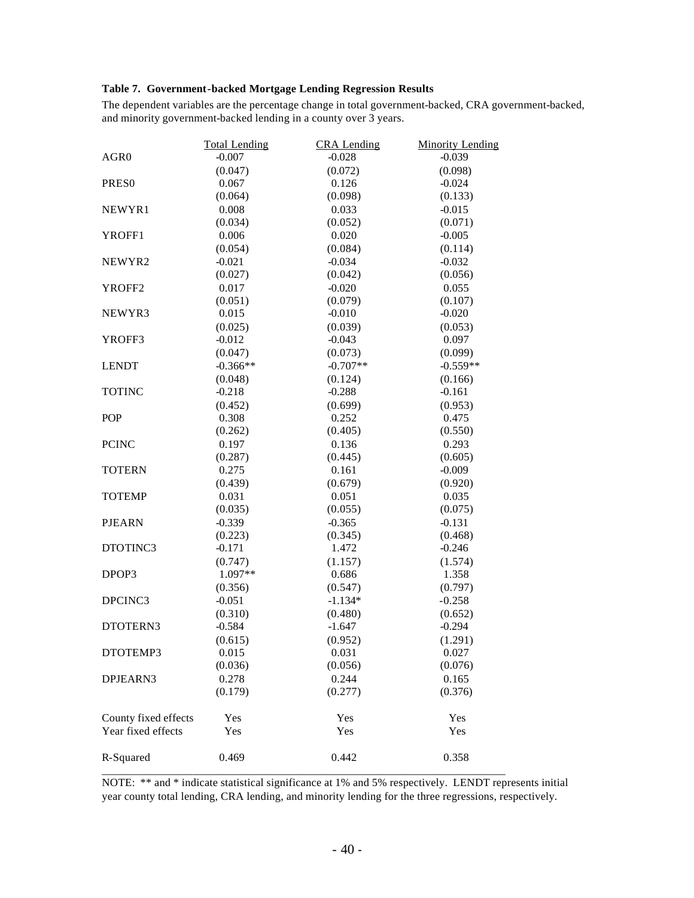### **Table 7. Government-backed Mortgage Lending Regression Results**

The dependent variables are the percentage change in total government-backed, CRA government-backed, and minority government-backed lending in a county over 3 years.

|                      | <b>Total Lending</b> | <b>CRA</b> Lending | <b>Minority Lending</b> |
|----------------------|----------------------|--------------------|-------------------------|
| AGR <sub>0</sub>     | $-0.007$             | $-0.028$           | $-0.039$                |
|                      | (0.047)              | (0.072)            | (0.098)                 |
| PRES <sub>0</sub>    | 0.067                | 0.126              | $-0.024$                |
|                      | (0.064)              | (0.098)            | (0.133)                 |
| NEWYR1               | 0.008                | 0.033              | $-0.015$                |
|                      | (0.034)              | (0.052)            | (0.071)                 |
| YROFF1               | 0.006                | 0.020              | $-0.005$                |
|                      | (0.054)              | (0.084)            | (0.114)                 |
| NEWYR2               | $-0.021$             | $-0.034$           | $-0.032$                |
|                      | (0.027)              | (0.042)            | (0.056)                 |
| YROFF <sub>2</sub>   | 0.017                | $-0.020$           | 0.055                   |
|                      | (0.051)              | (0.079)            | (0.107)                 |
| NEWYR3               | 0.015                | $-0.010$           | $-0.020$                |
|                      | (0.025)              | (0.039)            | (0.053)                 |
| YROFF3               | $-0.012$             | $-0.043$           | 0.097                   |
|                      | (0.047)              | (0.073)            | (0.099)                 |
| <b>LENDT</b>         | $-0.366**$           | $-0.707**$         | $-0.559**$              |
|                      | (0.048)              | (0.124)            | (0.166)                 |
| <b>TOTINC</b>        | $-0.218$             | $-0.288$           | $-0.161$                |
|                      | (0.452)              | (0.699)            | (0.953)                 |
| <b>POP</b>           | 0.308                | 0.252              | 0.475                   |
|                      | (0.262)              | (0.405)            | (0.550)                 |
| <b>PCINC</b>         | 0.197                | 0.136              | 0.293                   |
|                      | (0.287)              | (0.445)            | (0.605)                 |
| <b>TOTERN</b>        | 0.275                | 0.161              | $-0.009$                |
|                      | (0.439)              | (0.679)            | (0.920)                 |
| <b>TOTEMP</b>        | 0.031                | 0.051              | 0.035                   |
|                      | (0.035)              | (0.055)            | (0.075)                 |
| <b>PJEARN</b>        | $-0.339$             | $-0.365$           | $-0.131$                |
|                      | (0.223)              | (0.345)            | (0.468)                 |
| DTOTINC3             | $-0.171$             | 1.472              | $-0.246$                |
|                      | (0.747)              | (1.157)            | (1.574)                 |
| DPOP3                | 1.097**              | 0.686              | 1.358                   |
|                      | (0.356)              | (0.547)            | (0.797)                 |
| DPCINC3              | $-0.051$             | $-1.134*$          | $-0.258$                |
|                      | (0.310)              | (0.480)            | (0.652)                 |
| DTOTERN3             | $-0.584$             | $-1.647$           | $-0.294$                |
|                      | (0.615)              | (0.952)            | (1.291)                 |
| DTOTEMP3             | 0.015                | 0.031              | 0.027                   |
|                      | (0.036)              | (0.056)            | (0.076)                 |
| DPJEARN3             | 0.278                | 0.244              | 0.165                   |
|                      | (0.179)              | (0.277)            | (0.376)                 |
| County fixed effects | Yes                  | Yes                | Yes                     |
| Year fixed effects   | Yes                  | Yes                | Yes                     |
| R-Squared            | 0.469                | 0.442              | 0.358                   |

NOTE: \*\* and \* indicate statistical significance at 1% and 5% respectively. LENDT represents initial year county total lending, CRA lending, and minority lending for the three regressions, respectively.